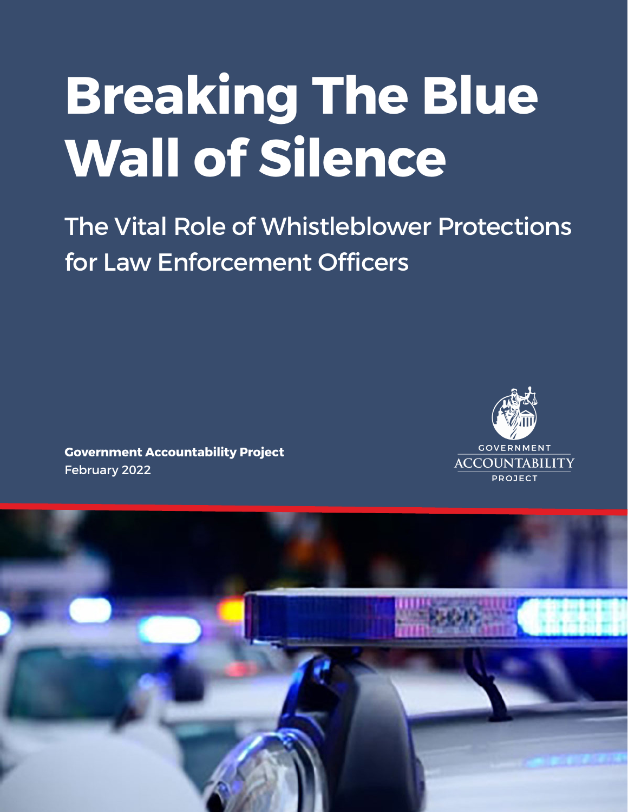# **Breaking The Blue Wall of Silence**

The Vital Role of Whistleblower Protections for Law Enforcement Officers

**Government Accountability Project** February 2022



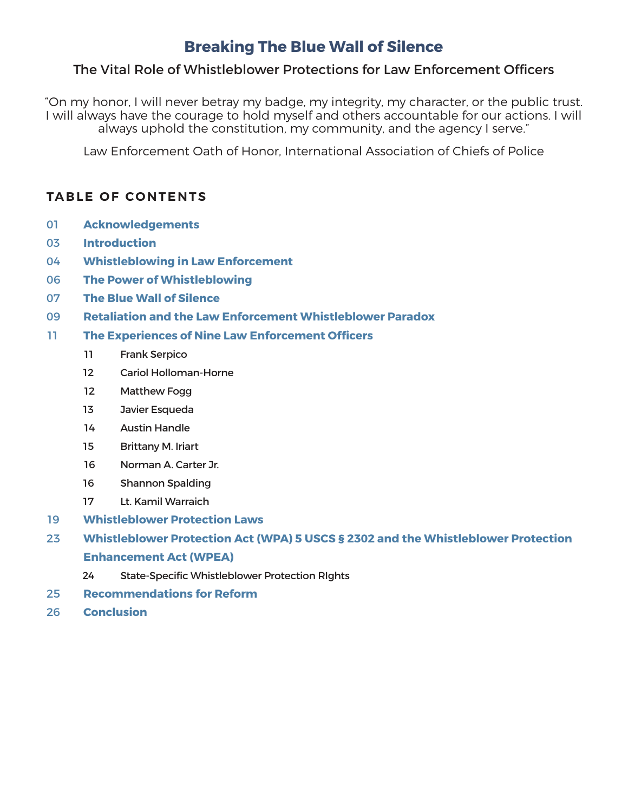## **Breaking The Blue Wall of Silence**

## The Vital Role of Whistleblower Protections for Law Enforcement Officers

"On my honor, I will never betray my badge, my integrity, my character, or the public trust. I will always have the courage to hold myself and others accountable for our actions. I will always uphold the constitution, my community, and the agency I serve."

Law Enforcement Oath of Honor, International Association of Chiefs of Police

## **TABLE OF CONTENTS**

- **Acknowledgements**
- **Introduction**
- **Whistleblowing in Law Enforcement**
- **The Power of Whistleblowing**
- **The Blue Wall of Silence**
- **Retaliation and the Law Enforcement Whistleblower Paradox**
- **The Experiences of Nine Law Enforcement Officers**
	- Frank Serpico
	- Cariol Holloman-Horne
	- Matthew Fogg
	- 13 Javier Esqueda
	- Austin Handle
	- Brittany M. Iriart
	- Norman A. Carter Jr.
	- Shannon Spalding
	- Lt. Kamil Warraich
- **Whistleblower Protection Laws**
- **Whistleblower Protection Act (WPA) 5 USCS § 2302 and the Whistleblower Protection Enhancement Act (WPEA)**
	- State-Specific Whistleblower Protection RIghts
- **Recommendations for Reform**
- **Conclusion**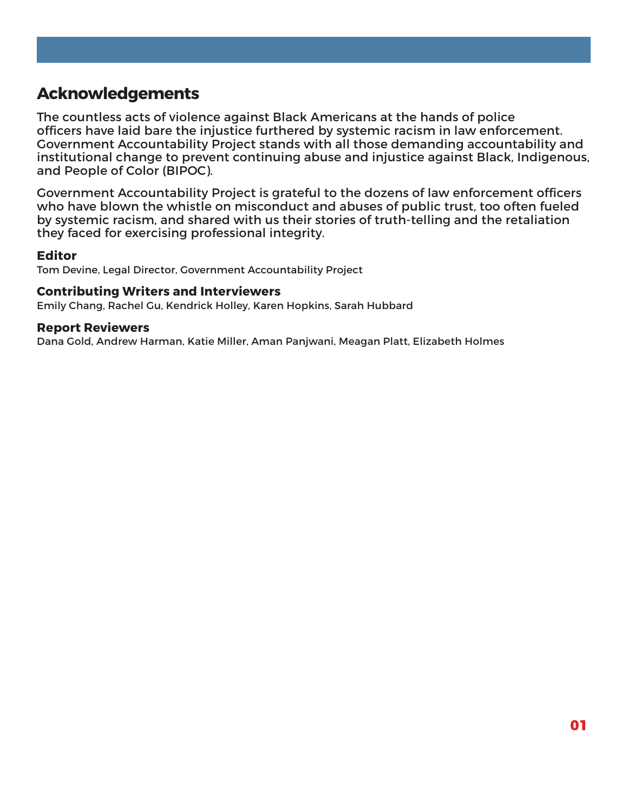## **Acknowledgements**

The countless acts of violence against Black Americans at the hands of police officers have laid bare the injustice furthered by systemic racism in law enforcement. Government Accountability Project stands with all those demanding accountability and institutional change to prevent continuing abuse and injustice against Black, Indigenous, and People of Color (BIPOC).

Government Accountability Project is grateful to the dozens of law enforcement officers who have blown the whistle on misconduct and abuses of public trust, too often fueled by systemic racism, and shared with us their stories of truth-telling and the retaliation they faced for exercising professional integrity.

#### **Editor**

Tom Devine, Legal Director, Government Accountability Project

#### **Contributing Writers and Interviewers**

Emily Chang, Rachel Gu, Kendrick Holley, Karen Hopkins, Sarah Hubbard

#### **Report Reviewers**

Dana Gold, Andrew Harman, Katie Miller, Aman Panjwani, Meagan Platt, Elizabeth Holmes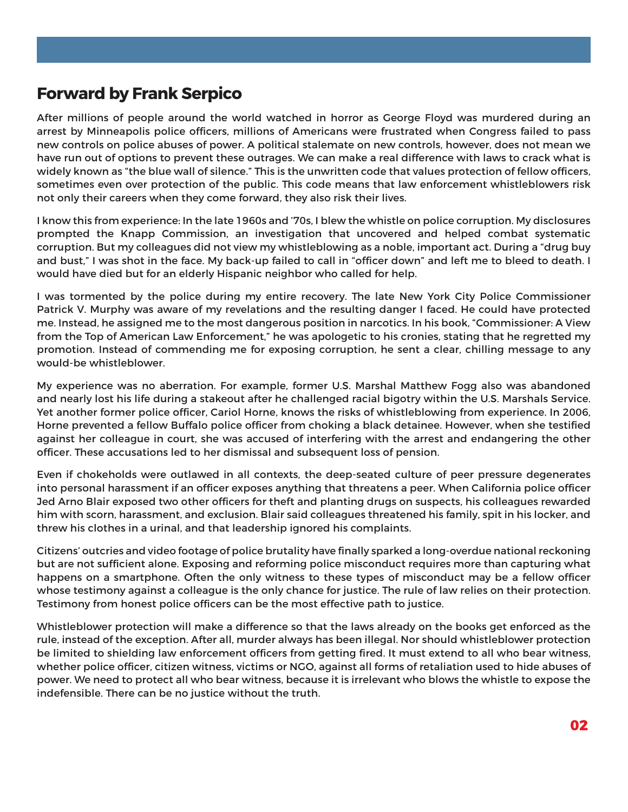## **Forward by Frank Serpico**

After millions of people around the world watched in horror as George Floyd was murdered during an arrest by Minneapolis police officers, millions of Americans were frustrated when Congress failed to pass new controls on police abuses of power. A political stalemate on new controls, however, does not mean we have run out of options to prevent these outrages. We can make a real difference with laws to crack what is widely known as "the blue wall of silence." This is the unwritten code that values protection of fellow officers, sometimes even over protection of the public. This code means that law enforcement whistleblowers risk not only their careers when they come forward, they also risk their lives.

I know this from experience: In the late 1960s and '70s, I blew the whistle on police corruption. My disclosures prompted the Knapp Commission, an investigation that uncovered and helped combat systematic corruption. But my colleagues did not view my whistleblowing as a noble, important act. During a "drug buy and bust," I was shot in the face. My back-up failed to call in "officer down" and left me to bleed to death. I would have died but for an elderly Hispanic neighbor who called for help.

I was tormented by the police during my entire recovery. The late New York City Police Commissioner Patrick V. Murphy was aware of my revelations and the resulting danger I faced. He could have protected me. Instead, he assigned me to the most dangerous position in narcotics. In his book, "Commissioner: A View from the Top of American Law Enforcement," he was apologetic to his cronies, stating that he regretted my promotion. Instead of commending me for exposing corruption, he sent a clear, chilling message to any would-be whistleblower.

My experience was no aberration. For example, former U.S. Marshal Matthew Fogg also was abandoned and nearly lost his life during a stakeout after he challenged racial bigotry within the U.S. Marshals Service. Yet another former police officer, Cariol Horne, knows the risks of whistleblowing from experience. In 2006, Horne prevented a fellow Buffalo police officer from choking a black detainee. However, when she testified against her colleague in court, she was accused of interfering with the arrest and endangering the other officer. These accusations led to her dismissal and subsequent loss of pension.

Even if chokeholds were outlawed in all contexts, the deep-seated culture of peer pressure degenerates into personal harassment if an officer exposes anything that threatens a peer. When California police officer Jed Arno Blair exposed two other officers for theft and planting drugs on suspects, his colleagues rewarded him with scorn, harassment, and exclusion. Blair said colleagues threatened his family, spit in his locker, and threw his clothes in a urinal, and that leadership ignored his complaints.

Citizens' outcries and video footage of police brutality have finally sparked a long-overdue national reckoning but are not sufficient alone. Exposing and reforming police misconduct requires more than capturing what happens on a smartphone. Often the only witness to these types of misconduct may be a fellow officer whose testimony against a colleague is the only chance for justice. The rule of law relies on their protection. Testimony from honest police officers can be the most effective path to justice.

Whistleblower protection will make a difference so that the laws already on the books get enforced as the rule, instead of the exception. After all, murder always has been illegal. Nor should whistleblower protection be limited to shielding law enforcement officers from getting fired. It must extend to all who bear witness, whether police officer, citizen witness, victims or NGO, against all forms of retaliation used to hide abuses of power. We need to protect all who bear witness, because it is irrelevant who blows the whistle to expose the indefensible. There can be no justice without the truth.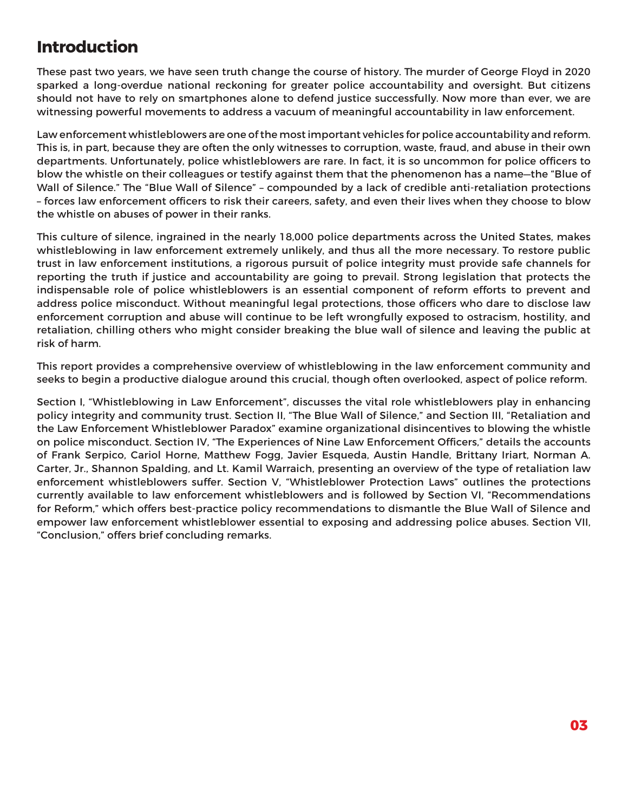## **Introduction**

These past two years, we have seen truth change the course of history. The murder of George Floyd in 2020 sparked a long-overdue national reckoning for greater police accountability and oversight. But citizens should not have to rely on smartphones alone to defend justice successfully. Now more than ever, we are witnessing powerful movements to address a vacuum of meaningful accountability in law enforcement.

Law enforcement whistleblowers are one of the most important vehicles for police accountability and reform. This is, in part, because they are often the only witnesses to corruption, waste, fraud, and abuse in their own departments. Unfortunately, police whistleblowers are rare. In fact, it is so uncommon for police officers to blow the whistle on their colleagues or testify against them that the phenomenon has a name—the "Blue of Wall of Silence." The "Blue Wall of Silence" – compounded by a lack of credible anti-retaliation protections – forces law enforcement officers to risk their careers, safety, and even their lives when they choose to blow the whistle on abuses of power in their ranks.

This culture of silence, ingrained in the nearly 18,000 police departments across the United States, makes whistleblowing in law enforcement extremely unlikely, and thus all the more necessary. To restore public trust in law enforcement institutions, a rigorous pursuit of police integrity must provide safe channels for reporting the truth if justice and accountability are going to prevail. Strong legislation that protects the indispensable role of police whistleblowers is an essential component of reform efforts to prevent and address police misconduct. Without meaningful legal protections, those officers who dare to disclose law enforcement corruption and abuse will continue to be left wrongfully exposed to ostracism, hostility, and retaliation, chilling others who might consider breaking the blue wall of silence and leaving the public at risk of harm.

This report provides a comprehensive overview of whistleblowing in the law enforcement community and seeks to begin a productive dialogue around this crucial, though often overlooked, aspect of police reform.

Section I, "Whistleblowing in Law Enforcement", discusses the vital role whistleblowers play in enhancing policy integrity and community trust. Section II, "The Blue Wall of Silence," and Section III, "Retaliation and the Law Enforcement Whistleblower Paradox" examine organizational disincentives to blowing the whistle on police misconduct. Section IV, "The Experiences of Nine Law Enforcement Officers," details the accounts of Frank Serpico, Cariol Horne, Matthew Fogg, Javier Esqueda, Austin Handle, Brittany Iriart, Norman A. Carter, Jr., Shannon Spalding, and Lt. Kamil Warraich, presenting an overview of the type of retaliation law enforcement whistleblowers suffer. Section V, "Whistleblower Protection Laws" outlines the protections currently available to law enforcement whistleblowers and is followed by Section VI, "Recommendations for Reform," which offers best-practice policy recommendations to dismantle the Blue Wall of Silence and empower law enforcement whistleblower essential to exposing and addressing police abuses. Section VII, "Conclusion," offers brief concluding remarks.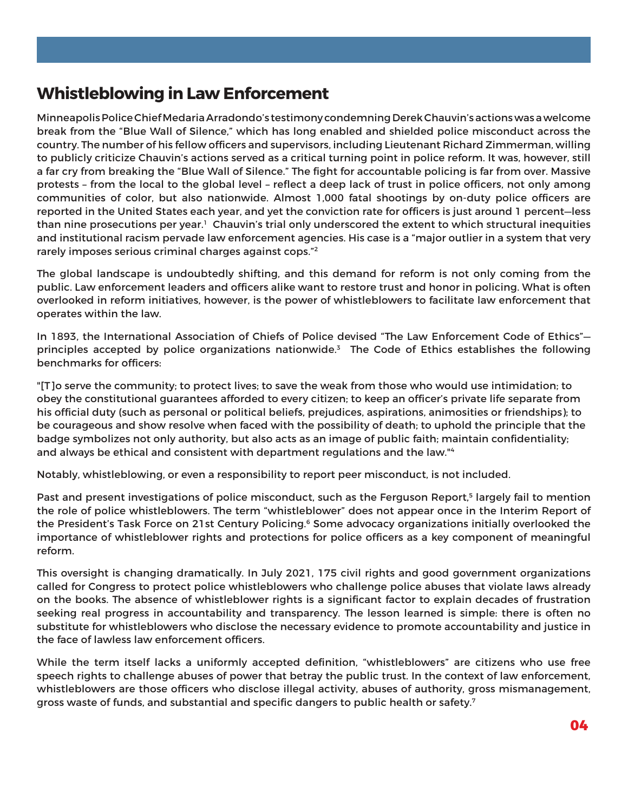## **Whistleblowing in Law Enforcement**

Minneapolis Police Chief Medaria Arradondo's testimony condemning Derek Chauvin's actions was a welcome break from the "Blue Wall of Silence," which has long enabled and shielded police misconduct across the country. The number of his fellow officers and supervisors, including Lieutenant Richard Zimmerman, willing to publicly criticize Chauvin's actions served as a critical turning point in police reform. It was, however, still a far cry from breaking the "Blue Wall of Silence." The fight for accountable policing is far from over. Massive protests – from the local to the global level – reflect a deep lack of trust in police officers, not only among communities of color, but also nationwide. Almost 1,000 fatal shootings by on-duty police officers are reported in the United States each year, and yet the conviction rate for officers is just around 1 percent—less than nine prosecutions per year.<sup>1</sup> Chauvin's trial only underscored the extent to which structural inequities and institutional racism pervade law enforcement agencies. His case is a "major outlier in a system that very rarely imposes serious criminal charges against cops."2

The global landscape is undoubtedly shifting, and this demand for reform is not only coming from the public. Law enforcement leaders and officers alike want to restore trust and honor in policing. What is often overlooked in reform initiatives, however, is the power of whistleblowers to facilitate law enforcement that operates within the law.

In 1893, the International Association of Chiefs of Police devised "The Law Enforcement Code of Ethics" principles accepted by police organizations nationwide.<sup>3</sup> The Code of Ethics establishes the following benchmarks for officers:

"[T]o serve the community; to protect lives; to save the weak from those who would use intimidation; to obey the constitutional guarantees afforded to every citizen; to keep an officer's private life separate from his official duty (such as personal or political beliefs, prejudices, aspirations, animosities or friendships); to be courageous and show resolve when faced with the possibility of death; to uphold the principle that the badge symbolizes not only authority, but also acts as an image of public faith; maintain confidentiality; and always be ethical and consistent with department regulations and the law."4

Notably, whistleblowing, or even a responsibility to report peer misconduct, is not included.

Past and present investigations of police misconduct, such as the Ferguson Report,<sup>5</sup> largely fail to mention the role of police whistleblowers. The term "whistleblower" does not appear once in the Interim Report of the President's Task Force on 21st Century Policing.<sup>6</sup> Some advocacy organizations initially overlooked the importance of whistleblower rights and protections for police officers as a key component of meaningful reform.

This oversight is changing dramatically. In July 2021, 175 civil rights and good government organizations called for Congress to protect police whistleblowers who challenge police abuses that violate laws already on the books. The absence of whistleblower rights is a significant factor to explain decades of frustration seeking real progress in accountability and transparency. The lesson learned is simple: there is often no substitute for whistleblowers who disclose the necessary evidence to promote accountability and justice in the face of lawless law enforcement officers.

While the term itself lacks a uniformly accepted definition, "whistleblowers" are citizens who use free speech rights to challenge abuses of power that betray the public trust. In the context of law enforcement, whistleblowers are those officers who disclose illegal activity, abuses of authority, gross mismanagement, gross waste of funds, and substantial and specific dangers to public health or safety.7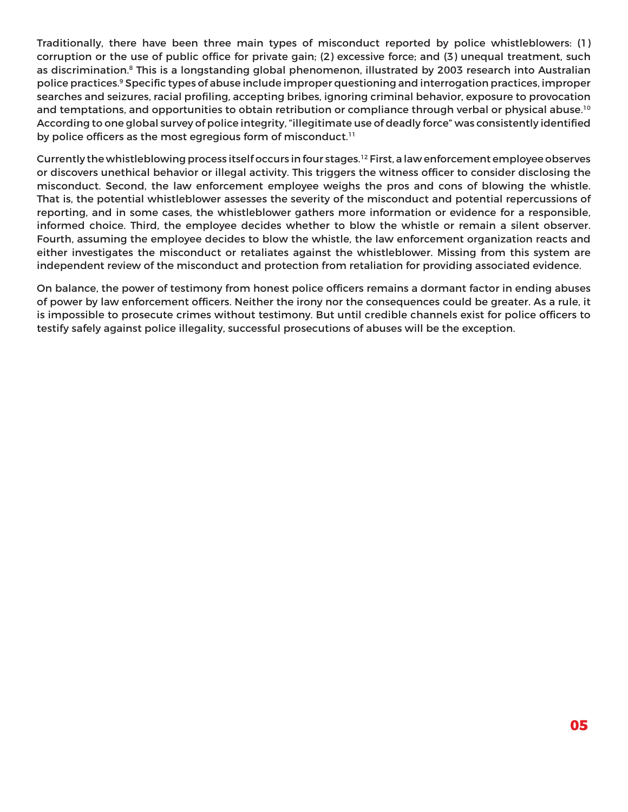Traditionally, there have been three main types of misconduct reported by police whistleblowers: (1) corruption or the use of public office for private gain; (2) excessive force; and (3) unequal treatment, such as discrimination.<sup>8</sup> This is a longstanding global phenomenon, illustrated by 2003 research into Australian police practices.9 Specific types of abuse include improper questioning and interrogation practices, improper searches and seizures, racial profiling, accepting bribes, ignoring criminal behavior, exposure to provocation and temptations, and opportunities to obtain retribution or compliance through verbal or physical abuse.<sup>10</sup> According to one global survey of police integrity, "illegitimate use of deadly force" was consistently identified by police officers as the most egregious form of misconduct.<sup>11</sup>

Currently the whistleblowing process itself occurs in four stages.12 First, a law enforcement employee observes or discovers unethical behavior or illegal activity. This triggers the witness officer to consider disclosing the misconduct. Second, the law enforcement employee weighs the pros and cons of blowing the whistle. That is, the potential whistleblower assesses the severity of the misconduct and potential repercussions of reporting, and in some cases, the whistleblower gathers more information or evidence for a responsible, informed choice. Third, the employee decides whether to blow the whistle or remain a silent observer. Fourth, assuming the employee decides to blow the whistle, the law enforcement organization reacts and either investigates the misconduct or retaliates against the whistleblower. Missing from this system are independent review of the misconduct and protection from retaliation for providing associated evidence.

On balance, the power of testimony from honest police officers remains a dormant factor in ending abuses of power by law enforcement officers. Neither the irony nor the consequences could be greater. As a rule, it is impossible to prosecute crimes without testimony. But until credible channels exist for police officers to testify safely against police illegality, successful prosecutions of abuses will be the exception.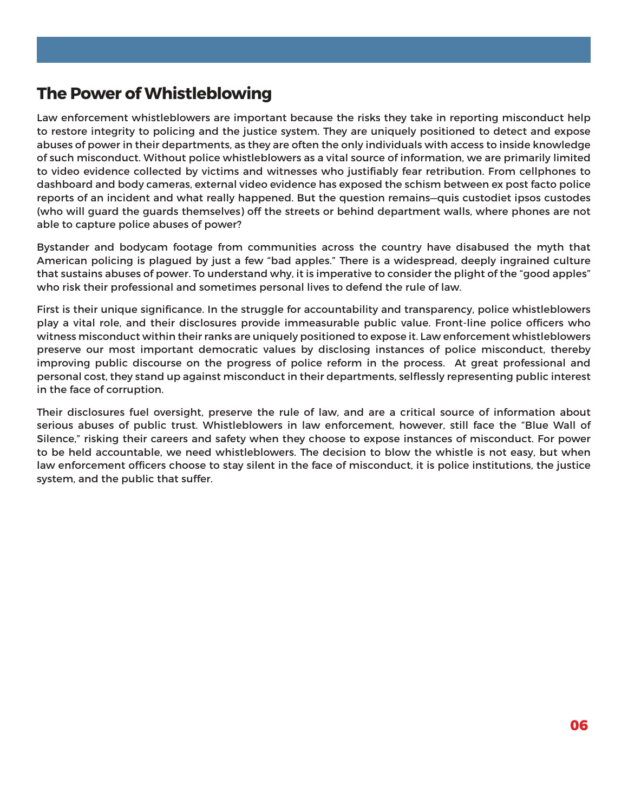## **The Power of Whistleblowing**

Law enforcement whistleblowers are important because the risks they take in reporting misconduct help to restore integrity to policing and the justice system. They are uniquely positioned to detect and expose abuses of power in their departments, as they are often the only individuals with access to inside knowledge of such misconduct. Without police whistleblowers as a vital source of information, we are primarily limited to video evidence collected by victims and witnesses who justifiably fear retribution. From cellphones to dashboard and body cameras, external video evidence has exposed the schism between ex post facto police reports of an incident and what really happened. But the question remains—quis custodiet ipsos custodes (who will guard the guards themselves) off the streets or behind department walls, where phones are not able to capture police abuses of power?

Bystander and bodycam footage from communities across the country have disabused the myth that American policing is plagued by just a few "bad apples." There is a widespread, deeply ingrained culture that sustains abuses of power. To understand why, it is imperative to consider the plight of the "good apples" who risk their professional and sometimes personal lives to defend the rule of law.

First is their unique significance. In the struggle for accountability and transparency, police whistleblowers play a vital role, and their disclosures provide immeasurable public value. Front-line police officers who witness misconduct within their ranks are uniquely positioned to expose it. Law enforcement whistleblowers preserve our most important democratic values by disclosing instances of police misconduct, thereby improving public discourse on the progress of police reform in the process. At great professional and personal cost, they stand up against misconduct in their departments, selflessly representing public interest in the face of corruption.

Their disclosures fuel oversight, preserve the rule of law, and are a critical source of information about serious abuses of public trust. Whistleblowers in law enforcement, however, still face the "Blue Wall of Silence," risking their careers and safety when they choose to expose instances of misconduct. For power to be held accountable, we need whistleblowers. The decision to blow the whistle is not easy, but when law enforcement officers choose to stay silent in the face of misconduct, it is police institutions, the justice system, and the public that suffer.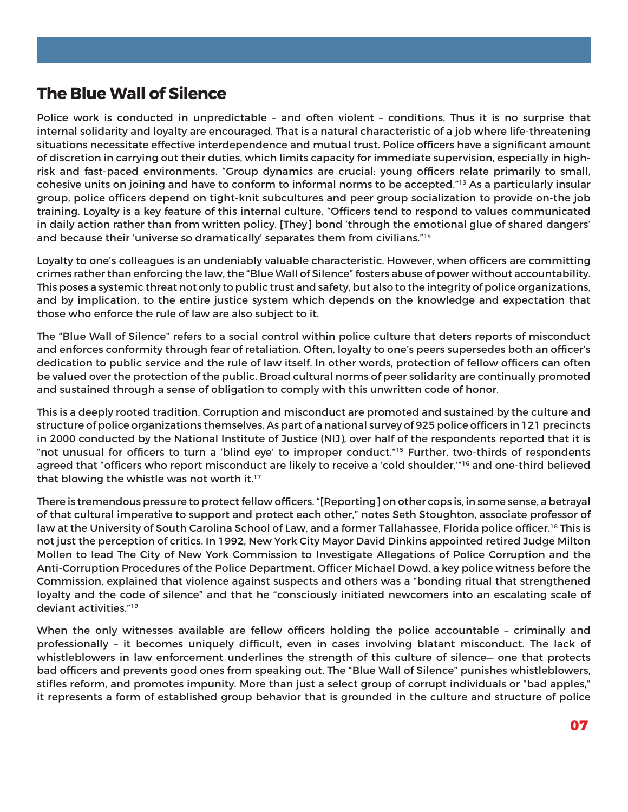## **The Blue Wall of Silence**

Police work is conducted in unpredictable – and often violent – conditions. Thus it is no surprise that internal solidarity and loyalty are encouraged. That is a natural characteristic of a job where life-threatening situations necessitate effective interdependence and mutual trust. Police officers have a significant amount of discretion in carrying out their duties, which limits capacity for immediate supervision, especially in highrisk and fast-paced environments. "Group dynamics are crucial: young officers relate primarily to small, cohesive units on joining and have to conform to informal norms to be accepted."13 As a particularly insular group, police officers depend on tight-knit subcultures and peer group socialization to provide on-the job training. Loyalty is a key feature of this internal culture. "Officers tend to respond to values communicated in daily action rather than from written policy. [They] bond 'through the emotional glue of shared dangers' and because their 'universe so dramatically' separates them from civilians."14

Loyalty to one's colleagues is an undeniably valuable characteristic. However, when officers are committing crimes rather than enforcing the law, the "Blue Wall of Silence" fosters abuse of power without accountability. This poses a systemic threat not only to public trust and safety, but also to the integrity of police organizations, and by implication, to the entire justice system which depends on the knowledge and expectation that those who enforce the rule of law are also subject to it.

The "Blue Wall of Silence" refers to a social control within police culture that deters reports of misconduct and enforces conformity through fear of retaliation. Often, loyalty to one's peers supersedes both an officer's dedication to public service and the rule of law itself. In other words, protection of fellow officers can often be valued over the protection of the public. Broad cultural norms of peer solidarity are continually promoted and sustained through a sense of obligation to comply with this unwritten code of honor.

This is a deeply rooted tradition. Corruption and misconduct are promoted and sustained by the culture and structure of police organizations themselves. As part of a national survey of 925 police officers in 121 precincts in 2000 conducted by the National Institute of Justice (NIJ), over half of the respondents reported that it is "not unusual for officers to turn a 'blind eye' to improper conduct."15 Further, two-thirds of respondents agreed that "officers who report misconduct are likely to receive a 'cold shoulder,'"16 and one-third believed that blowing the whistle was not worth it.<sup>17</sup>

There is tremendous pressure to protect fellow officers. "[Reporting] on other cops is, in some sense, a betrayal of that cultural imperative to support and protect each other," notes Seth Stoughton, associate professor of law at the University of South Carolina School of Law, and a former Tallahassee, Florida police officer.<sup>18</sup> This is not just the perception of critics. In 1992, New York City Mayor David Dinkins appointed retired Judge Milton Mollen to lead The City of New York Commission to Investigate Allegations of Police Corruption and the Anti-Corruption Procedures of the Police Department. Officer Michael Dowd, a key police witness before the Commission, explained that violence against suspects and others was a "bonding ritual that strengthened loyalty and the code of silence" and that he "consciously initiated newcomers into an escalating scale of deviant activities."19

When the only witnesses available are fellow officers holding the police accountable – criminally and professionally – it becomes uniquely difficult, even in cases involving blatant misconduct. The lack of whistleblowers in law enforcement underlines the strength of this culture of silence— one that protects bad officers and prevents good ones from speaking out. The "Blue Wall of Silence" punishes whistleblowers, stifles reform, and promotes impunity. More than just a select group of corrupt individuals or "bad apples," it represents a form of established group behavior that is grounded in the culture and structure of police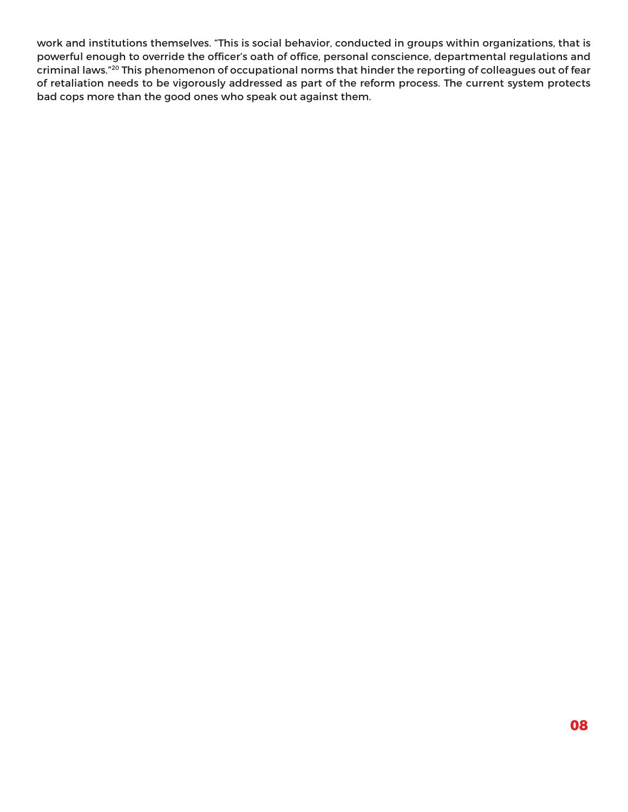work and institutions themselves. "This is social behavior, conducted in groups within organizations, that is powerful enough to override the officer's oath of office, personal conscience, departmental regulations and criminal laws."20 This phenomenon of occupational norms that hinder the reporting of colleagues out of fear of retaliation needs to be vigorously addressed as part of the reform process. The current system protects bad cops more than the good ones who speak out against them.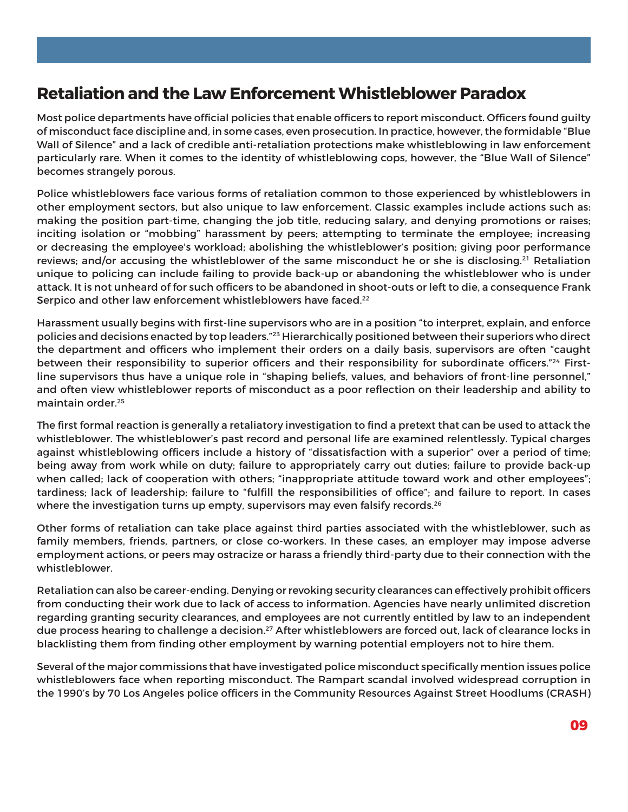## **Retaliation and the Law Enforcement Whistleblower Paradox**

Most police departments have official policies that enable officers to report misconduct. Officers found guilty of misconduct face discipline and, in some cases, even prosecution. In practice, however, the formidable "Blue Wall of Silence" and a lack of credible anti-retaliation protections make whistleblowing in law enforcement particularly rare. When it comes to the identity of whistleblowing cops, however, the "Blue Wall of Silence" becomes strangely porous.

Police whistleblowers face various forms of retaliation common to those experienced by whistleblowers in other employment sectors, but also unique to law enforcement. Classic examples include actions such as: making the position part-time, changing the job title, reducing salary, and denying promotions or raises; inciting isolation or "mobbing" harassment by peers; attempting to terminate the employee; increasing or decreasing the employee's workload; abolishing the whistleblower's position; giving poor performance reviews; and/or accusing the whistleblower of the same misconduct he or she is disclosing.<sup>21</sup> Retaliation unique to policing can include failing to provide back-up or abandoning the whistleblower who is under attack. It is not unheard of for such officers to be abandoned in shoot-outs or left to die, a consequence Frank Serpico and other law enforcement whistleblowers have faced.<sup>22</sup>

Harassment usually begins with first-line supervisors who are in a position "to interpret, explain, and enforce policies and decisions enacted by top leaders."23 Hierarchically positioned between their superiors who direct the department and officers who implement their orders on a daily basis, supervisors are often "caught between their responsibility to superior officers and their responsibility for subordinate officers."<sup>24</sup> Firstline supervisors thus have a unique role in "shaping beliefs, values, and behaviors of front-line personnel," and often view whistleblower reports of misconduct as a poor reflection on their leadership and ability to maintain order.25

The first formal reaction is generally a retaliatory investigation to find a pretext that can be used to attack the whistleblower. The whistleblower's past record and personal life are examined relentlessly. Typical charges against whistleblowing officers include a history of "dissatisfaction with a superior" over a period of time; being away from work while on duty; failure to appropriately carry out duties; failure to provide back-up when called; lack of cooperation with others; "inappropriate attitude toward work and other employees"; tardiness; lack of leadership; failure to "fulfill the responsibilities of office"; and failure to report. In cases where the investigation turns up empty, supervisors may even falsify records.<sup>26</sup>

Other forms of retaliation can take place against third parties associated with the whistleblower, such as family members, friends, partners, or close co-workers. In these cases, an employer may impose adverse employment actions, or peers may ostracize or harass a friendly third-party due to their connection with the whistleblower.

Retaliation can also be career-ending. Denying or revoking security clearances can effectively prohibit officers from conducting their work due to lack of access to information. Agencies have nearly unlimited discretion regarding granting security clearances, and employees are not currently entitled by law to an independent due process hearing to challenge a decision.<sup>27</sup> After whistleblowers are forced out, lack of clearance locks in blacklisting them from finding other employment by warning potential employers not to hire them.

Several of the major commissions that have investigated police misconduct specifically mention issues police whistleblowers face when reporting misconduct. The Rampart scandal involved widespread corruption in the 1990's by 70 Los Angeles police officers in the Community Resources Against Street Hoodlums (CRASH)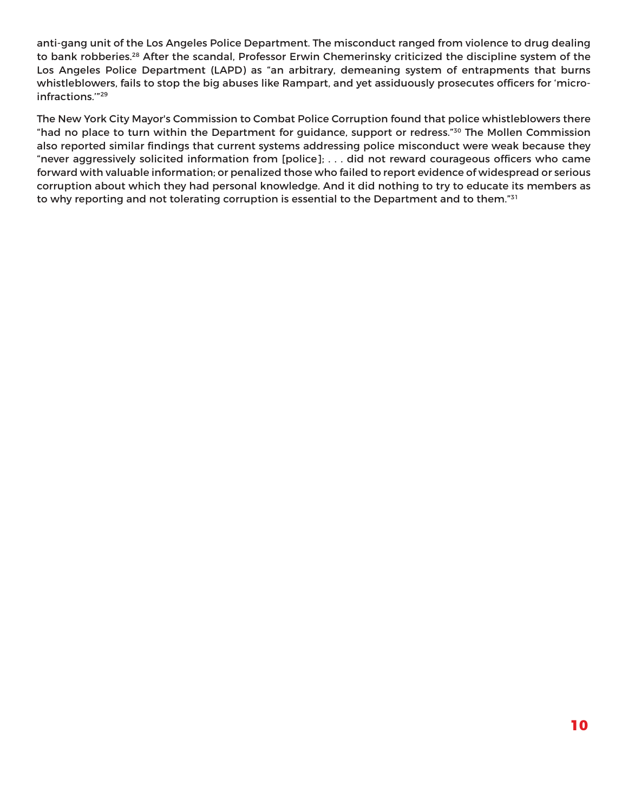anti-gang unit of the Los Angeles Police Department. The misconduct ranged from violence to drug dealing to bank robberies.<sup>28</sup> After the scandal, Professor Erwin Chemerinsky criticized the discipline system of the Los Angeles Police Department (LAPD) as "an arbitrary, demeaning system of entrapments that burns whistleblowers, fails to stop the big abuses like Rampart, and yet assiduously prosecutes officers for 'microinfractions.'"29

The New York City Mayor's Commission to Combat Police Corruption found that police whistleblowers there "had no place to turn within the Department for guidance, support or redress."30 The Mollen Commission also reported similar findings that current systems addressing police misconduct were weak because they "never aggressively solicited information from [police]; . . . did not reward courageous officers who came forward with valuable information; or penalized those who failed to report evidence of widespread or serious corruption about which they had personal knowledge. And it did nothing to try to educate its members as to why reporting and not tolerating corruption is essential to the Department and to them."<sup>31</sup>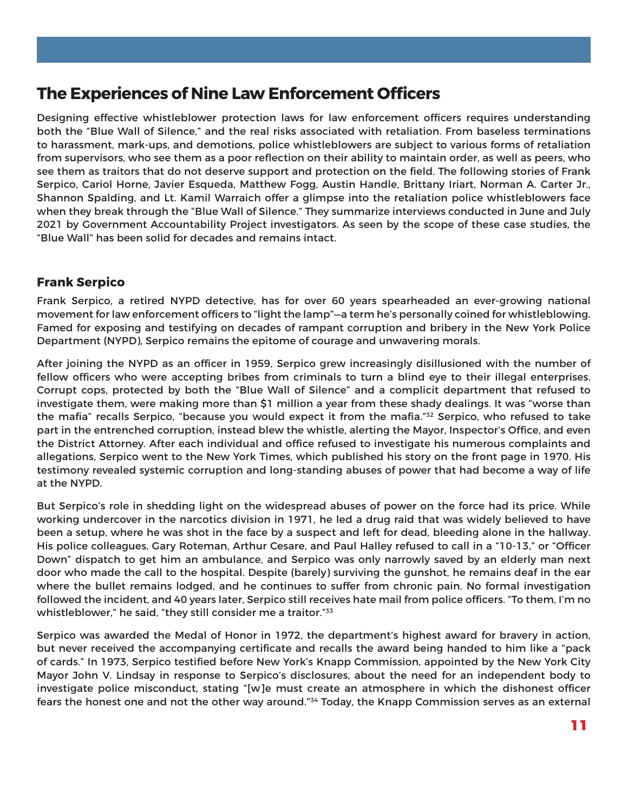## **The Experiences of Nine Law Enforcement Officers**

Designing effective whistleblower protection laws for law enforcement officers requires understanding both the "Blue Wall of Silence," and the real risks associated with retaliation. From baseless terminations to harassment, mark-ups, and demotions, police whistleblowers are subject to various forms of retaliation from supervisors, who see them as a poor reflection on their ability to maintain order, as well as peers, who see them as traitors that do not deserve support and protection on the field. The following stories of Frank Serpico, Cariol Horne, Javier Esqueda, Matthew Fogg, Austin Handle, Brittany Iriart, Norman A. Carter Jr., Shannon Spalding, and Lt. Kamil Warraich offer a glimpse into the retaliation police whistleblowers face when they break through the "Blue Wall of Silence." They summarize interviews conducted in June and July 2021 by Government Accountability Project investigators. As seen by the scope of these case studies, the "Blue Wall" has been solid for decades and remains intact.

#### **Frank Serpico**

Frank Serpico, a retired NYPD detective, has for over 60 years spearheaded an ever-growing national movement for law enforcement officers to "light the lamp"—a term he's personally coined for whistleblowing. Famed for exposing and testifying on decades of rampant corruption and bribery in the New York Police Department (NYPD), Serpico remains the epitome of courage and unwavering morals.

After joining the NYPD as an officer in 1959, Serpico grew increasingly disillusioned with the number of fellow officers who were accepting bribes from criminals to turn a blind eye to their illegal enterprises. Corrupt cops, protected by both the "Blue Wall of Silence" and a complicit department that refused to investigate them, were making more than \$1 million a year from these shady dealings. It was "worse than the mafia" recalls Serpico, "because you would expect it from the mafia."<sup>32</sup> Serpico, who refused to take part in the entrenched corruption, instead blew the whistle, alerting the Mayor, Inspector's Office, and even the District Attorney. After each individual and office refused to investigate his numerous complaints and allegations, Serpico went to the New York Times, which published his story on the front page in 1970. His testimony revealed systemic corruption and long-standing abuses of power that had become a way of life at the NYPD.

But Serpico's role in shedding light on the widespread abuses of power on the force had its price. While working undercover in the narcotics division in 1971, he led a drug raid that was widely believed to have been a setup, where he was shot in the face by a suspect and left for dead, bleeding alone in the hallway. His police colleagues, Gary Roteman, Arthur Cesare, and Paul Halley refused to call in a "10-13," or "Officer Down" dispatch to get him an ambulance, and Serpico was only narrowly saved by an elderly man next door who made the call to the hospital. Despite (barely) surviving the gunshot, he remains deaf in the ear where the bullet remains lodged, and he continues to suffer from chronic pain. No formal investigation followed the incident, and 40 years later, Serpico still receives hate mail from police officers. "To them, I'm no whistleblower," he said, "they still consider me a traitor."<sup>33</sup>

Serpico was awarded the Medal of Honor in 1972, the department's highest award for bravery in action, but never received the accompanying certificate and recalls the award being handed to him like a "pack of cards." In 1973, Serpico testified before New York's Knapp Commission, appointed by the New York City Mayor John V. Lindsay in response to Serpico's disclosures, about the need for an independent body to investigate police misconduct, stating "[w]e must create an atmosphere in which the dishonest officer fears the honest one and not the other way around."<sup>34</sup> Today, the Knapp Commission serves as an external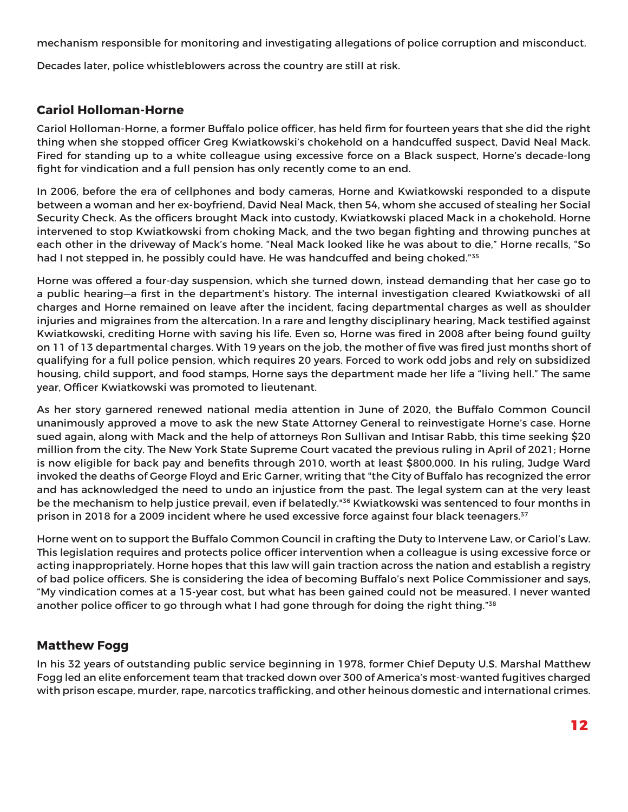mechanism responsible for monitoring and investigating allegations of police corruption and misconduct.

Decades later, police whistleblowers across the country are still at risk.

#### **Cariol Holloman-Horne**

Cariol Holloman-Horne, a former Buffalo police officer, has held firm for fourteen years that she did the right thing when she stopped officer Greg Kwiatkowski's chokehold on a handcuffed suspect, David Neal Mack. Fired for standing up to a white colleague using excessive force on a Black suspect, Horne's decade-long fight for vindication and a full pension has only recently come to an end.

In 2006, before the era of cellphones and body cameras, Horne and Kwiatkowski responded to a dispute between a woman and her ex-boyfriend, David Neal Mack, then 54, whom she accused of stealing her Social Security Check. As the officers brought Mack into custody, Kwiatkowski placed Mack in a chokehold. Horne intervened to stop Kwiatkowski from choking Mack, and the two began fighting and throwing punches at each other in the driveway of Mack's home. "Neal Mack looked like he was about to die," Horne recalls, "So had I not stepped in, he possibly could have. He was handcuffed and being choked."<sup>35</sup>

Horne was offered a four-day suspension, which she turned down, instead demanding that her case go to a public hearing—a first in the department's history. The internal investigation cleared Kwiatkowski of all charges and Horne remained on leave after the incident, facing departmental charges as well as shoulder injuries and migraines from the altercation. In a rare and lengthy disciplinary hearing, Mack testified against Kwiatkowski, crediting Horne with saving his life. Even so, Horne was fired in 2008 after being found guilty on 11 of 13 departmental charges. With 19 years on the job, the mother of five was fired just months short of qualifying for a full police pension, which requires 20 years. Forced to work odd jobs and rely on subsidized housing, child support, and food stamps, Horne says the department made her life a "living hell." The same year, Officer Kwiatkowski was promoted to lieutenant.

As her story garnered renewed national media attention in June of 2020, the Buffalo Common Council unanimously approved a move to ask the new State Attorney General to reinvestigate Horne's case. Horne sued again, along with Mack and the help of attorneys Ron Sullivan and Intisar Rabb, this time seeking \$20 million from the city. The New York State Supreme Court vacated the previous ruling in April of 2021; Horne is now eligible for back pay and benefits through 2010, worth at least \$800,000. In his ruling, Judge Ward invoked the deaths of George Floyd and Eric Garner, writing that "the City of Buffalo has recognized the error and has acknowledged the need to undo an injustice from the past. The legal system can at the very least be the mechanism to help justice prevail, even if belatedly."<sup>36</sup> Kwiatkowski was sentenced to four months in prison in 2018 for a 2009 incident where he used excessive force against four black teenagers.<sup>37</sup>

Horne went on to support the Buffalo Common Council in crafting the Duty to Intervene Law, or Cariol's Law. This legislation requires and protects police officer intervention when a colleague is using excessive force or acting inappropriately. Horne hopes that this law will gain traction across the nation and establish a registry of bad police officers. She is considering the idea of becoming Buffalo's next Police Commissioner and says, "My vindication comes at a 15-year cost, but what has been gained could not be measured. I never wanted another police officer to go through what I had gone through for doing the right thing." $38$ 

#### **Matthew Fogg**

In his 32 years of outstanding public service beginning in 1978, former Chief Deputy U.S. Marshal Matthew Fogg led an elite enforcement team that tracked down over 300 of America's most-wanted fugitives charged with prison escape, murder, rape, narcotics trafficking, and other heinous domestic and international crimes.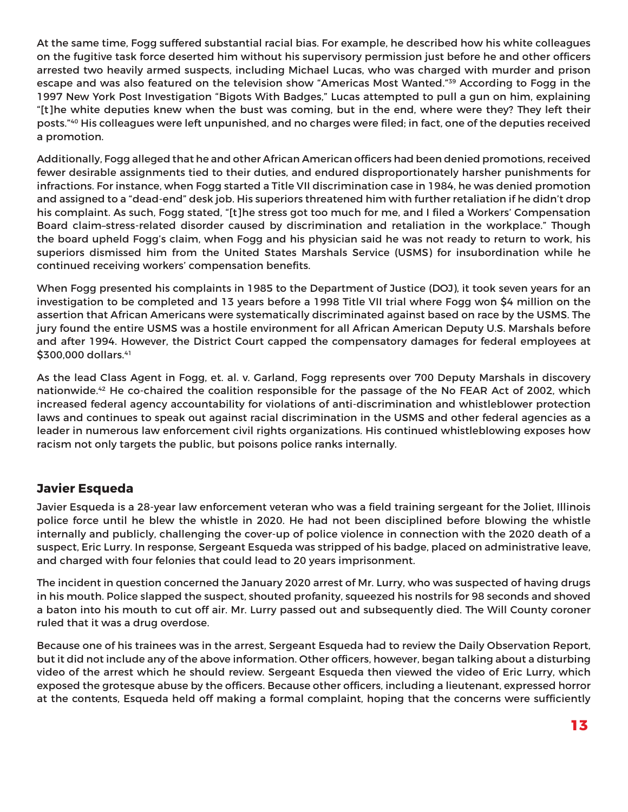At the same time, Fogg suffered substantial racial bias. For example, he described how his white colleagues on the fugitive task force deserted him without his supervisory permission just before he and other officers arrested two heavily armed suspects, including Michael Lucas, who was charged with murder and prison escape and was also featured on the television show "Americas Most Wanted."39 According to Fogg in the 1997 New York Post Investigation "Bigots With Badges," Lucas attempted to pull a gun on him, explaining "[t]he white deputies knew when the bust was coming, but in the end, where were they? They left their posts."40 His colleagues were left unpunished, and no charges were filed; in fact, one of the deputies received a promotion.

Additionally, Fogg alleged that he and other African American officers had been denied promotions, received fewer desirable assignments tied to their duties, and endured disproportionately harsher punishments for infractions. For instance, when Fogg started a Title VII discrimination case in 1984, he was denied promotion and assigned to a "dead-end" desk job. His superiors threatened him with further retaliation if he didn't drop his complaint. As such, Fogg stated, "[t]he stress got too much for me, and I filed a Workers' Compensation Board claim–stress-related disorder caused by discrimination and retaliation in the workplace." Though the board upheld Fogg's claim, when Fogg and his physician said he was not ready to return to work, his superiors dismissed him from the United States Marshals Service (USMS) for insubordination while he continued receiving workers' compensation benefits.

When Fogg presented his complaints in 1985 to the Department of Justice (DOJ), it took seven years for an investigation to be completed and 13 years before a 1998 Title VII trial where Fogg won \$4 million on the assertion that African Americans were systematically discriminated against based on race by the USMS. The jury found the entire USMS was a hostile environment for all African American Deputy U.S. Marshals before and after 1994. However, the District Court capped the compensatory damages for federal employees at \$300,000 dollars.<sup>41</sup>

As the lead Class Agent in Fogg, et. al. v. Garland, Fogg represents over 700 Deputy Marshals in discovery nationwide.42 He co-chaired the coalition responsible for the passage of the No FEAR Act of 2002, which increased federal agency accountability for violations of anti-discrimination and whistleblower protection laws and continues to speak out against racial discrimination in the USMS and other federal agencies as a leader in numerous law enforcement civil rights organizations. His continued whistleblowing exposes how racism not only targets the public, but poisons police ranks internally.

#### **Javier Esqueda**

Javier Esqueda is a 28-year law enforcement veteran who was a field training sergeant for the Joliet, Illinois police force until he blew the whistle in 2020. He had not been disciplined before blowing the whistle internally and publicly, challenging the cover-up of police violence in connection with the 2020 death of a suspect, Eric Lurry. In response, Sergeant Esqueda was stripped of his badge, placed on administrative leave, and charged with four felonies that could lead to 20 years imprisonment.

The incident in question concerned the January 2020 arrest of Mr. Lurry, who was suspected of having drugs in his mouth. Police slapped the suspect, shouted profanity, squeezed his nostrils for 98 seconds and shoved a baton into his mouth to cut off air. Mr. Lurry passed out and subsequently died. The Will County coroner ruled that it was a drug overdose.

Because one of his trainees was in the arrest, Sergeant Esqueda had to review the Daily Observation Report, but it did not include any of the above information. Other officers, however, began talking about a disturbing video of the arrest which he should review. Sergeant Esqueda then viewed the video of Eric Lurry, which exposed the grotesque abuse by the officers. Because other officers, including a lieutenant, expressed horror at the contents, Esqueda held off making a formal complaint, hoping that the concerns were sufficiently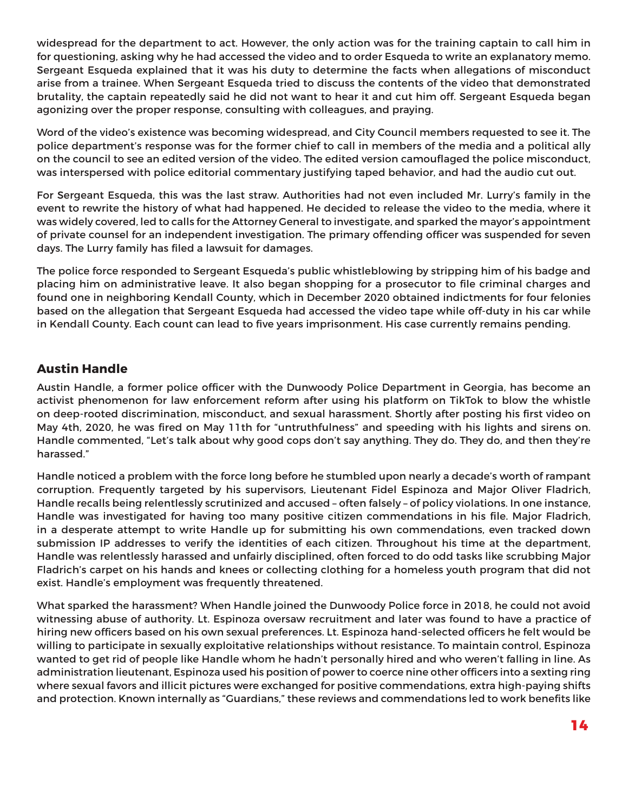widespread for the department to act. However, the only action was for the training captain to call him in for questioning, asking why he had accessed the video and to order Esqueda to write an explanatory memo. Sergeant Esqueda explained that it was his duty to determine the facts when allegations of misconduct arise from a trainee. When Sergeant Esqueda tried to discuss the contents of the video that demonstrated brutality, the captain repeatedly said he did not want to hear it and cut him off. Sergeant Esqueda began agonizing over the proper response, consulting with colleagues, and praying.

Word of the video's existence was becoming widespread, and City Council members requested to see it. The police department's response was for the former chief to call in members of the media and a political ally on the council to see an edited version of the video. The edited version camouflaged the police misconduct, was interspersed with police editorial commentary justifying taped behavior, and had the audio cut out.

For Sergeant Esqueda, this was the last straw. Authorities had not even included Mr. Lurry's family in the event to rewrite the history of what had happened. He decided to release the video to the media, where it was widely covered, led to calls for the Attorney General to investigate, and sparked the mayor's appointment of private counsel for an independent investigation. The primary offending officer was suspended for seven days. The Lurry family has filed a lawsuit for damages.

The police force responded to Sergeant Esqueda's public whistleblowing by stripping him of his badge and placing him on administrative leave. It also began shopping for a prosecutor to file criminal charges and found one in neighboring Kendall County, which in December 2020 obtained indictments for four felonies based on the allegation that Sergeant Esqueda had accessed the video tape while off-duty in his car while in Kendall County. Each count can lead to five years imprisonment. His case currently remains pending.

#### **Austin Handle**

Austin Handle, a former police officer with the Dunwoody Police Department in Georgia, has become an activist phenomenon for law enforcement reform after using his platform on TikTok to blow the whistle on deep-rooted discrimination, misconduct, and sexual harassment. Shortly after posting his first video on May 4th, 2020, he was fired on May 11th for "untruthfulness" and speeding with his lights and sirens on. Handle commented, "Let's talk about why good cops don't say anything. They do. They do, and then they're harassed."

Handle noticed a problem with the force long before he stumbled upon nearly a decade's worth of rampant corruption. Frequently targeted by his supervisors, Lieutenant Fidel Espinoza and Major Oliver Fladrich, Handle recalls being relentlessly scrutinized and accused – often falsely – of policy violations. In one instance, Handle was investigated for having too many positive citizen commendations in his file. Major Fladrich, in a desperate attempt to write Handle up for submitting his own commendations, even tracked down submission IP addresses to verify the identities of each citizen. Throughout his time at the department, Handle was relentlessly harassed and unfairly disciplined, often forced to do odd tasks like scrubbing Major Fladrich's carpet on his hands and knees or collecting clothing for a homeless youth program that did not exist. Handle's employment was frequently threatened.

What sparked the harassment? When Handle joined the Dunwoody Police force in 2018, he could not avoid witnessing abuse of authority. Lt. Espinoza oversaw recruitment and later was found to have a practice of hiring new officers based on his own sexual preferences. Lt. Espinoza hand-selected officers he felt would be willing to participate in sexually exploitative relationships without resistance. To maintain control, Espinoza wanted to get rid of people like Handle whom he hadn't personally hired and who weren't falling in line. As administration lieutenant, Espinoza used his position of power to coerce nine other officers into a sexting ring where sexual favors and illicit pictures were exchanged for positive commendations, extra high-paying shifts and protection. Known internally as "Guardians," these reviews and commendations led to work benefits like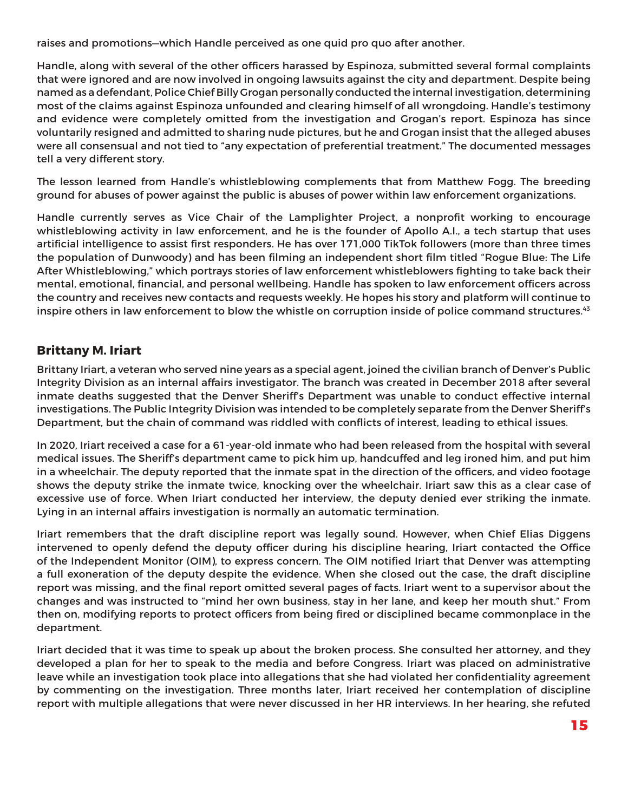raises and promotions—which Handle perceived as one quid pro quo after another.

Handle, along with several of the other officers harassed by Espinoza, submitted several formal complaints that were ignored and are now involved in ongoing lawsuits against the city and department. Despite being named as a defendant, Police Chief Billy Grogan personally conducted the internal investigation, determining most of the claims against Espinoza unfounded and clearing himself of all wrongdoing. Handle's testimony and evidence were completely omitted from the investigation and Grogan's report. Espinoza has since voluntarily resigned and admitted to sharing nude pictures, but he and Grogan insist that the alleged abuses were all consensual and not tied to "any expectation of preferential treatment." The documented messages tell a very different story.

The lesson learned from Handle's whistleblowing complements that from Matthew Fogg. The breeding ground for abuses of power against the public is abuses of power within law enforcement organizations.

Handle currently serves as Vice Chair of the Lamplighter Project, a nonprofit working to encourage whistleblowing activity in law enforcement, and he is the founder of Apollo A.I., a tech startup that uses artificial intelligence to assist first responders. He has over 171,000 TikTok followers (more than three times the population of Dunwoody) and has been filming an independent short film titled "Rogue Blue: The Life After Whistleblowing," which portrays stories of law enforcement whistleblowers fighting to take back their mental, emotional, financial, and personal wellbeing. Handle has spoken to law enforcement officers across the country and receives new contacts and requests weekly. He hopes his story and platform will continue to inspire others in law enforcement to blow the whistle on corruption inside of police command structures.<sup>43</sup>

#### **Brittany M. Iriart**

Brittany Iriart, a veteran who served nine years as a special agent, joined the civilian branch of Denver's Public Integrity Division as an internal affairs investigator. The branch was created in December 2018 after several inmate deaths suggested that the Denver Sheriff's Department was unable to conduct effective internal investigations. The Public Integrity Division was intended to be completely separate from the Denver Sheriff's Department, but the chain of command was riddled with conflicts of interest, leading to ethical issues.

In 2020, Iriart received a case for a 61-year-old inmate who had been released from the hospital with several medical issues. The Sheriff's department came to pick him up, handcuffed and leg ironed him, and put him in a wheelchair. The deputy reported that the inmate spat in the direction of the officers, and video footage shows the deputy strike the inmate twice, knocking over the wheelchair. Iriart saw this as a clear case of excessive use of force. When Iriart conducted her interview, the deputy denied ever striking the inmate. Lying in an internal affairs investigation is normally an automatic termination.

Iriart remembers that the draft discipline report was legally sound. However, when Chief Elias Diggens intervened to openly defend the deputy officer during his discipline hearing, Iriart contacted the Office of the Independent Monitor (OIM), to express concern. The OIM notified Iriart that Denver was attempting a full exoneration of the deputy despite the evidence. When she closed out the case, the draft discipline report was missing, and the final report omitted several pages of facts. Iriart went to a supervisor about the changes and was instructed to "mind her own business, stay in her lane, and keep her mouth shut." From then on, modifying reports to protect officers from being fired or disciplined became commonplace in the department.

Iriart decided that it was time to speak up about the broken process. She consulted her attorney, and they developed a plan for her to speak to the media and before Congress. Iriart was placed on administrative leave while an investigation took place into allegations that she had violated her confidentiality agreement by commenting on the investigation. Three months later, Iriart received her contemplation of discipline report with multiple allegations that were never discussed in her HR interviews. In her hearing, she refuted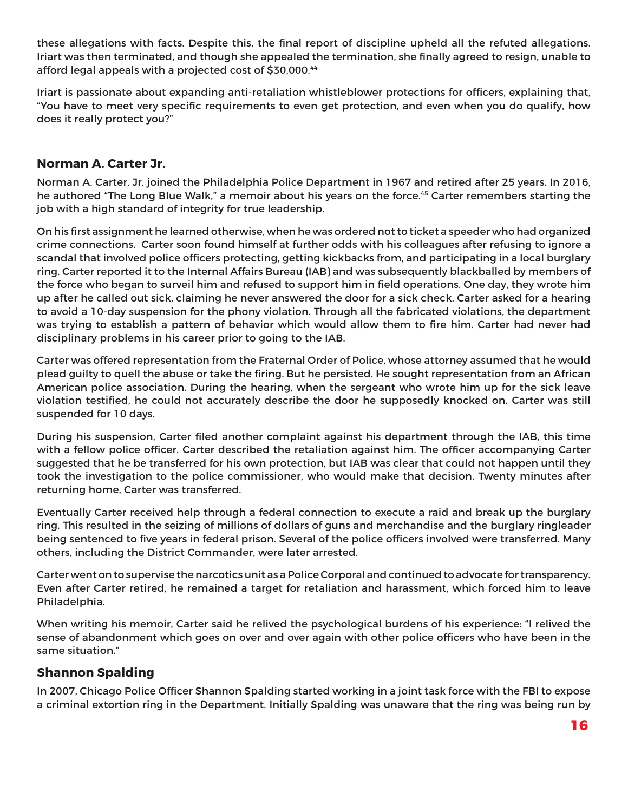these allegations with facts. Despite this, the final report of discipline upheld all the refuted allegations. Iriart was then terminated, and though she appealed the termination, she finally agreed to resign, unable to afford legal appeals with a projected cost of \$30,000.44

Iriart is passionate about expanding anti-retaliation whistleblower protections for officers, explaining that, "You have to meet very specific requirements to even get protection, and even when you do qualify, how does it really protect you?"

#### **Norman A. Carter Jr.**

Norman A. Carter, Jr. joined the Philadelphia Police Department in 1967 and retired after 25 years. In 2016, he authored "The Long Blue Walk," a memoir about his years on the force.<sup>45</sup> Carter remembers starting the job with a high standard of integrity for true leadership.

On his first assignment he learned otherwise, when he was ordered not to ticket a speeder who had organized crime connections. Carter soon found himself at further odds with his colleagues after refusing to ignore a scandal that involved police officers protecting, getting kickbacks from, and participating in a local burglary ring. Carter reported it to the Internal Affairs Bureau (IAB) and was subsequently blackballed by members of the force who began to surveil him and refused to support him in field operations. One day, they wrote him up after he called out sick, claiming he never answered the door for a sick check. Carter asked for a hearing to avoid a 10-day suspension for the phony violation. Through all the fabricated violations, the department was trying to establish a pattern of behavior which would allow them to fire him. Carter had never had disciplinary problems in his career prior to going to the IAB.

Carter was offered representation from the Fraternal Order of Police, whose attorney assumed that he would plead guilty to quell the abuse or take the firing. But he persisted. He sought representation from an African American police association. During the hearing, when the sergeant who wrote him up for the sick leave violation testified, he could not accurately describe the door he supposedly knocked on. Carter was still suspended for 10 days.

During his suspension, Carter filed another complaint against his department through the IAB, this time with a fellow police officer. Carter described the retaliation against him. The officer accompanying Carter suggested that he be transferred for his own protection, but IAB was clear that could not happen until they took the investigation to the police commissioner, who would make that decision. Twenty minutes after returning home, Carter was transferred.

Eventually Carter received help through a federal connection to execute a raid and break up the burglary ring. This resulted in the seizing of millions of dollars of guns and merchandise and the burglary ringleader being sentenced to five years in federal prison. Several of the police officers involved were transferred. Many others, including the District Commander, were later arrested.

Carter went on to supervise the narcotics unit as a Police Corporal and continued to advocate for transparency. Even after Carter retired, he remained a target for retaliation and harassment, which forced him to leave Philadelphia.

When writing his memoir, Carter said he relived the psychological burdens of his experience: "I relived the sense of abandonment which goes on over and over again with other police officers who have been in the same situation."

#### **Shannon Spalding**

In 2007, Chicago Police Officer Shannon Spalding started working in a joint task force with the FBI to expose a criminal extortion ring in the Department. Initially Spalding was unaware that the ring was being run by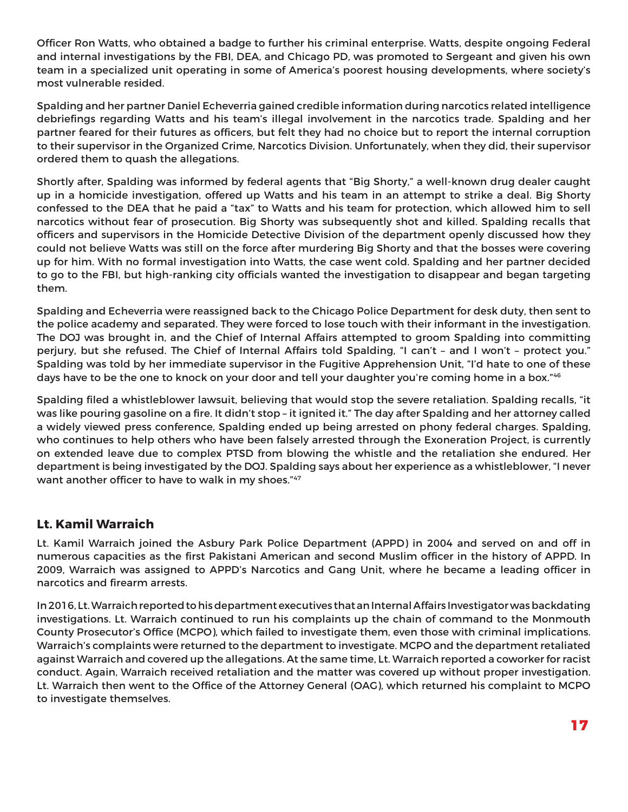Officer Ron Watts, who obtained a badge to further his criminal enterprise. Watts, despite ongoing Federal and internal investigations by the FBI, DEA, and Chicago PD, was promoted to Sergeant and given his own team in a specialized unit operating in some of America's poorest housing developments, where society's most vulnerable resided.

Spalding and her partner Daniel Echeverria gained credible information during narcotics related intelligence debriefings regarding Watts and his team's illegal involvement in the narcotics trade. Spalding and her partner feared for their futures as officers, but felt they had no choice but to report the internal corruption to their supervisor in the Organized Crime, Narcotics Division. Unfortunately, when they did, their supervisor ordered them to quash the allegations.

Shortly after, Spalding was informed by federal agents that "Big Shorty," a well-known drug dealer caught up in a homicide investigation, offered up Watts and his team in an attempt to strike a deal. Big Shorty confessed to the DEA that he paid a "tax" to Watts and his team for protection, which allowed him to sell narcotics without fear of prosecution. Big Shorty was subsequently shot and killed. Spalding recalls that officers and supervisors in the Homicide Detective Division of the department openly discussed how they could not believe Watts was still on the force after murdering Big Shorty and that the bosses were covering up for him. With no formal investigation into Watts, the case went cold. Spalding and her partner decided to go to the FBI, but high-ranking city officials wanted the investigation to disappear and began targeting them.

Spalding and Echeverria were reassigned back to the Chicago Police Department for desk duty, then sent to the police academy and separated. They were forced to lose touch with their informant in the investigation. The DOJ was brought in, and the Chief of Internal Affairs attempted to groom Spalding into committing perjury, but she refused. The Chief of Internal Affairs told Spalding, "I can't – and I won't – protect you." Spalding was told by her immediate supervisor in the Fugitive Apprehension Unit, "I'd hate to one of these days have to be the one to knock on your door and tell your daughter you're coming home in a box."46

Spalding filed a whistleblower lawsuit, believing that would stop the severe retaliation. Spalding recalls, "it was like pouring gasoline on a fire. It didn't stop – it ignited it." The day after Spalding and her attorney called a widely viewed press conference, Spalding ended up being arrested on phony federal charges. Spalding, who continues to help others who have been falsely arrested through the Exoneration Project, is currently on extended leave due to complex PTSD from blowing the whistle and the retaliation she endured. Her department is being investigated by the DOJ. Spalding says about her experience as a whistleblower, "I never want another officer to have to walk in my shoes."47

#### **Lt. Kamil Warraich**

Lt. Kamil Warraich joined the Asbury Park Police Department (APPD) in 2004 and served on and off in numerous capacities as the first Pakistani American and second Muslim officer in the history of APPD. In 2009, Warraich was assigned to APPD's Narcotics and Gang Unit, where he became a leading officer in narcotics and firearm arrests.

In 2016, Lt. Warraich reported to his department executives that an Internal Affairs Investigator was backdating investigations. Lt. Warraich continued to run his complaints up the chain of command to the Monmouth County Prosecutor's Office (MCPO), which failed to investigate them, even those with criminal implications. Warraich's complaints were returned to the department to investigate. MCPO and the department retaliated against Warraich and covered up the allegations. At the same time, Lt. Warraich reported a coworker for racist conduct. Again, Warraich received retaliation and the matter was covered up without proper investigation. Lt. Warraich then went to the Office of the Attorney General (OAG), which returned his complaint to MCPO to investigate themselves.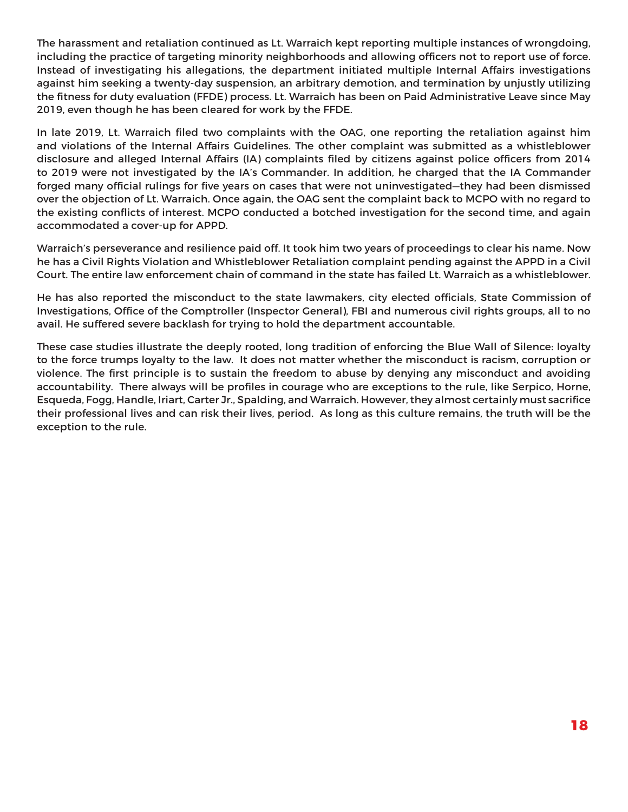The harassment and retaliation continued as Lt. Warraich kept reporting multiple instances of wrongdoing, including the practice of targeting minority neighborhoods and allowing officers not to report use of force. Instead of investigating his allegations, the department initiated multiple Internal Affairs investigations against him seeking a twenty-day suspension, an arbitrary demotion, and termination by unjustly utilizing the fitness for duty evaluation (FFDE) process. Lt. Warraich has been on Paid Administrative Leave since May 2019, even though he has been cleared for work by the FFDE.

In late 2019, Lt. Warraich filed two complaints with the OAG, one reporting the retaliation against him and violations of the Internal Affairs Guidelines. The other complaint was submitted as a whistleblower disclosure and alleged Internal Affairs (IA) complaints filed by citizens against police officers from 2014 to 2019 were not investigated by the IA's Commander. In addition, he charged that the IA Commander forged many official rulings for five years on cases that were not uninvestigated—they had been dismissed over the objection of Lt. Warraich. Once again, the OAG sent the complaint back to MCPO with no regard to the existing conflicts of interest. MCPO conducted a botched investigation for the second time, and again accommodated a cover-up for APPD.

Warraich's perseverance and resilience paid off. It took him two years of proceedings to clear his name. Now he has a Civil Rights Violation and Whistleblower Retaliation complaint pending against the APPD in a Civil Court. The entire law enforcement chain of command in the state has failed Lt. Warraich as a whistleblower.

He has also reported the misconduct to the state lawmakers, city elected officials, State Commission of Investigations, Office of the Comptroller (Inspector General), FBI and numerous civil rights groups, all to no avail. He suffered severe backlash for trying to hold the department accountable.

These case studies illustrate the deeply rooted, long tradition of enforcing the Blue Wall of Silence: loyalty to the force trumps loyalty to the law. It does not matter whether the misconduct is racism, corruption or violence. The first principle is to sustain the freedom to abuse by denying any misconduct and avoiding accountability. There always will be profiles in courage who are exceptions to the rule, like Serpico, Horne, Esqueda, Fogg, Handle, Iriart, Carter Jr., Spalding, and Warraich. However, they almost certainly must sacrifice their professional lives and can risk their lives, period. As long as this culture remains, the truth will be the exception to the rule.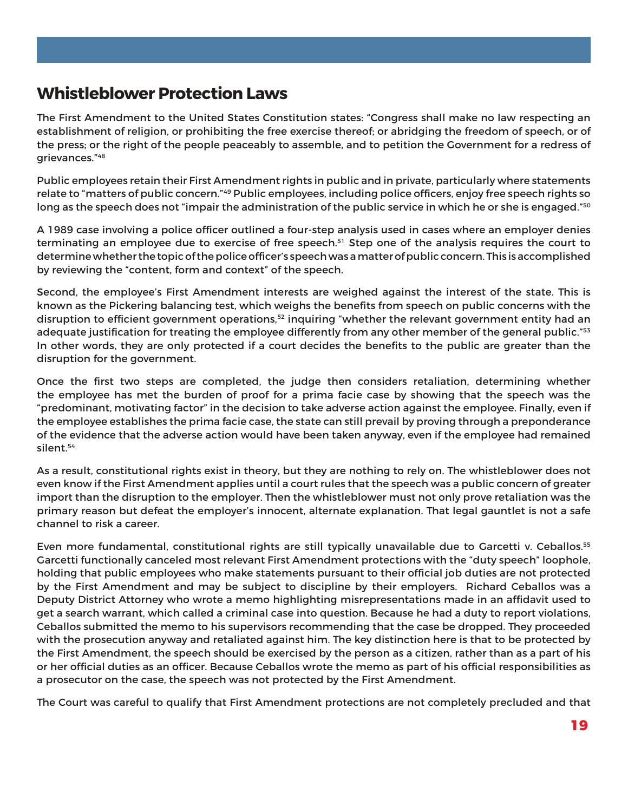## **Whistleblower Protection Laws**

The First Amendment to the United States Constitution states: "Congress shall make no law respecting an establishment of religion, or prohibiting the free exercise thereof; or abridging the freedom of speech, or of the press; or the right of the people peaceably to assemble, and to petition the Government for a redress of grievances."48

Public employees retain their First Amendment rights in public and in private, particularly where statements relate to "matters of public concern."<sup>49</sup> Public employees, including police officers, enjoy free speech rights so long as the speech does not "impair the administration of the public service in which he or she is engaged."<sup>50</sup>

A 1989 case involving a police officer outlined a four-step analysis used in cases where an employer denies terminating an employee due to exercise of free speech.<sup>51</sup> Step one of the analysis requires the court to determine whether the topic of the police officer's speech was a matter of public concern. This is accomplished by reviewing the "content, form and context" of the speech.

Second, the employee's First Amendment interests are weighed against the interest of the state. This is known as the Pickering balancing test, which weighs the benefits from speech on public concerns with the disruption to efficient government operations,<sup>52</sup> inquiring "whether the relevant government entity had an adequate justification for treating the employee differently from any other member of the general public."<sup>53</sup> In other words, they are only protected if a court decides the benefits to the public are greater than the disruption for the government.

Once the first two steps are completed, the judge then considers retaliation, determining whether the employee has met the burden of proof for a prima facie case by showing that the speech was the "predominant, motivating factor" in the decision to take adverse action against the employee. Finally, even if the employee establishes the prima facie case, the state can still prevail by proving through a preponderance of the evidence that the adverse action would have been taken anyway, even if the employee had remained silent.54

As a result, constitutional rights exist in theory, but they are nothing to rely on. The whistleblower does not even know if the First Amendment applies until a court rules that the speech was a public concern of greater import than the disruption to the employer. Then the whistleblower must not only prove retaliation was the primary reason but defeat the employer's innocent, alternate explanation. That legal gauntlet is not a safe channel to risk a career.

Even more fundamental, constitutional rights are still typically unavailable due to Garcetti v. Ceballos.<sup>55</sup> Garcetti functionally canceled most relevant First Amendment protections with the "duty speech" loophole, holding that public employees who make statements pursuant to their official job duties are not protected by the First Amendment and may be subject to discipline by their employers. Richard Ceballos was a Deputy District Attorney who wrote a memo highlighting misrepresentations made in an affidavit used to get a search warrant, which called a criminal case into question. Because he had a duty to report violations, Ceballos submitted the memo to his supervisors recommending that the case be dropped. They proceeded with the prosecution anyway and retaliated against him. The key distinction here is that to be protected by the First Amendment, the speech should be exercised by the person as a citizen, rather than as a part of his or her official duties as an officer. Because Ceballos wrote the memo as part of his official responsibilities as a prosecutor on the case, the speech was not protected by the First Amendment.

The Court was careful to qualify that First Amendment protections are not completely precluded and that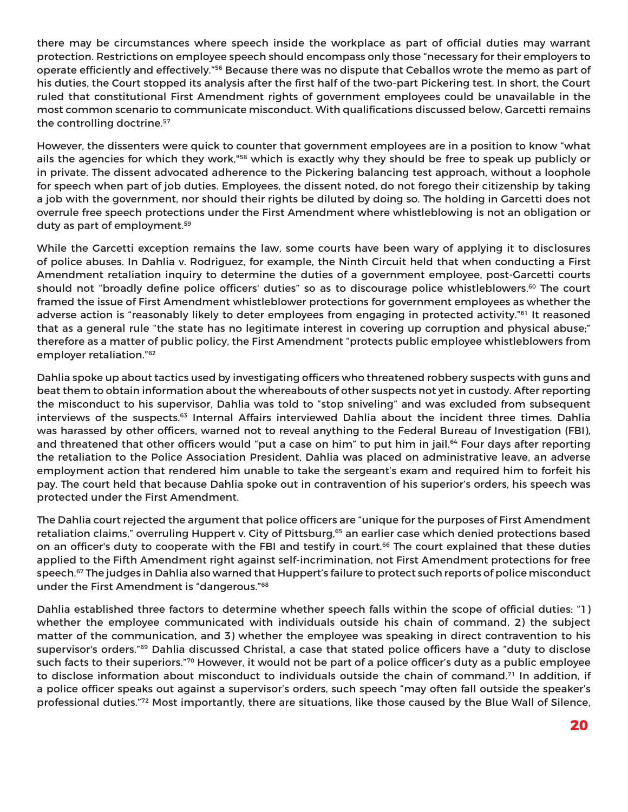there may be circumstances where speech inside the workplace as part of official duties may warrant protection. Restrictions on employee speech should encompass only those "necessary for their employers to operate efficiently and effectively."56 Because there was no dispute that Ceballos wrote the memo as part of his duties, the Court stopped its analysis after the first half of the two-part Pickering test. In short, the Court ruled that constitutional First Amendment rights of government employees could be unavailable in the most common scenario to communicate misconduct. With qualifications discussed below, Garcetti remains the controlling doctrine.<sup>57</sup>

However, the dissenters were quick to counter that government employees are in a position to know "what ails the agencies for which they work,"<sup>58</sup> which is exactly why they should be free to speak up publicly or in private. The dissent advocated adherence to the Pickering balancing test approach, without a loophole for speech when part of job duties. Employees, the dissent noted, do not forego their citizenship by taking a job with the government, nor should their rights be diluted by doing so. The holding in Garcetti does not overrule free speech protections under the First Amendment where whistleblowing is not an obligation or duty as part of employment.<sup>59</sup>

While the Garcetti exception remains the law, some courts have been wary of applying it to disclosures of police abuses. In Dahlia v. Rodriguez, for example, the Ninth Circuit held that when conducting a First Amendment retaliation inquiry to determine the duties of a government employee, post-Garcetti courts should not "broadly define police officers' duties" so as to discourage police whistleblowers.<sup>60</sup> The court framed the issue of First Amendment whistleblower protections for government employees as whether the adverse action is "reasonably likely to deter employees from engaging in protected activity."<sup>61</sup> It reasoned that as a general rule "the state has no legitimate interest in covering up corruption and physical abuse;" therefore as a matter of public policy, the First Amendment "protects public employee whistleblowers from employer retaliation."62

Dahlia spoke up about tactics used by investigating officers who threatened robbery suspects with guns and beat them to obtain information about the whereabouts of other suspects not yet in custody. After reporting the misconduct to his supervisor, Dahlia was told to "stop sniveling" and was excluded from subsequent interviews of the suspects.<sup>63</sup> Internal Affairs interviewed Dahlia about the incident three times. Dahlia was harassed by other officers, warned not to reveal anything to the Federal Bureau of Investigation (FBI), and threatened that other officers would "put a case on him" to put him in jail.<sup>64</sup> Four days after reporting the retaliation to the Police Association President, Dahlia was placed on administrative leave, an adverse employment action that rendered him unable to take the sergeant's exam and required him to forfeit his pay. The court held that because Dahlia spoke out in contravention of his superior's orders, his speech was protected under the First Amendment.

The Dahlia court rejected the argument that police officers are "unique for the purposes of First Amendment retaliation claims," overruling Huppert v. City of Pittsburg,<sup>65</sup> an earlier case which denied protections based on an officer's duty to cooperate with the FBI and testify in court.<sup>66</sup> The court explained that these duties applied to the Fifth Amendment right against self-incrimination, not First Amendment protections for free speech.<sup>67</sup> The judges in Dahlia also warned that Huppert's failure to protect such reports of police misconduct under the First Amendment is "dangerous."68

Dahlia established three factors to determine whether speech falls within the scope of official duties: "1) whether the employee communicated with individuals outside his chain of command, 2) the subject matter of the communication, and 3) whether the employee was speaking in direct contravention to his supervisor's orders."69 Dahlia discussed Christal, a case that stated police officers have a "duty to disclose such facts to their superiors."70 However, it would not be part of a police officer's duty as a public employee to disclose information about misconduct to individuals outside the chain of command.<sup>71</sup> In addition, if a police officer speaks out against a supervisor's orders, such speech "may often fall outside the speaker's professional duties."72 Most importantly, there are situations, like those caused by the Blue Wall of Silence,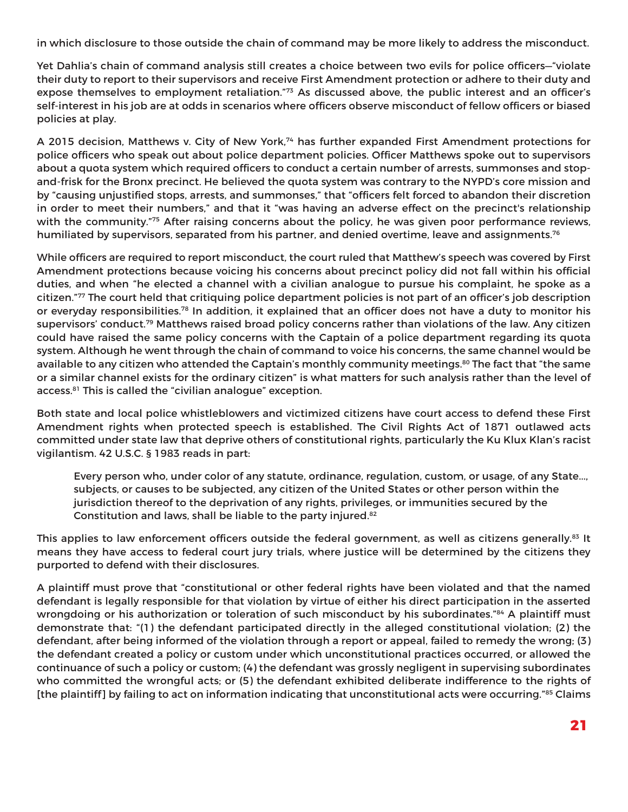in which disclosure to those outside the chain of command may be more likely to address the misconduct.

Yet Dahlia's chain of command analysis still creates a choice between two evils for police officers—"violate their duty to report to their supervisors and receive First Amendment protection or adhere to their duty and expose themselves to employment retaliation."73 As discussed above, the public interest and an officer's self-interest in his job are at odds in scenarios where officers observe misconduct of fellow officers or biased policies at play.

A 2015 decision, Matthews v. City of New York,74 has further expanded First Amendment protections for police officers who speak out about police department policies. Officer Matthews spoke out to supervisors about a quota system which required officers to conduct a certain number of arrests, summonses and stopand-frisk for the Bronx precinct. He believed the quota system was contrary to the NYPD's core mission and by "causing unjustified stops, arrests, and summonses," that "officers felt forced to abandon their discretion in order to meet their numbers," and that it "was having an adverse effect on the precinct's relationship with the community."<sup>75</sup> After raising concerns about the policy, he was given poor performance reviews, humiliated by supervisors, separated from his partner, and denied overtime, leave and assignments.<sup>76</sup>

While officers are required to report misconduct, the court ruled that Matthew's speech was covered by First Amendment protections because voicing his concerns about precinct policy did not fall within his official duties, and when "he elected a channel with a civilian analogue to pursue his complaint, he spoke as a citizen."77 The court held that critiquing police department policies is not part of an officer's job description or everyday responsibilities.78 In addition, it explained that an officer does not have a duty to monitor his supervisors' conduct.79 Matthews raised broad policy concerns rather than violations of the law. Any citizen could have raised the same policy concerns with the Captain of a police department regarding its quota system. Although he went through the chain of command to voice his concerns, the same channel would be available to any citizen who attended the Captain's monthly community meetings.<sup>80</sup> The fact that "the same or a similar channel exists for the ordinary citizen" is what matters for such analysis rather than the level of access.<sup>81</sup> This is called the "civilian analogue" exception.

Both state and local police whistleblowers and victimized citizens have court access to defend these First Amendment rights when protected speech is established. The Civil Rights Act of 1871 outlawed acts committed under state law that deprive others of constitutional rights, particularly the Ku Klux Klan's racist vigilantism. 42 U.S.C. § 1983 reads in part:

Every person who, under color of any statute, ordinance, regulation, custom, or usage, of any State..., subjects, or causes to be subjected, any citizen of the United States or other person within the jurisdiction thereof to the deprivation of any rights, privileges, or immunities secured by the Constitution and laws, shall be liable to the party injured.82

This applies to law enforcement officers outside the federal government, as well as citizens generally.<sup>83</sup> It means they have access to federal court jury trials, where justice will be determined by the citizens they purported to defend with their disclosures.

A plaintiff must prove that "constitutional or other federal rights have been violated and that the named defendant is legally responsible for that violation by virtue of either his direct participation in the asserted wrongdoing or his authorization or toleration of such misconduct by his subordinates."<sup>84</sup> A plaintiff must demonstrate that: "(1) the defendant participated directly in the alleged constitutional violation; (2) the defendant, after being informed of the violation through a report or appeal, failed to remedy the wrong; (3) the defendant created a policy or custom under which unconstitutional practices occurred, or allowed the continuance of such a policy or custom; (4) the defendant was grossly negligent in supervising subordinates who committed the wrongful acts; or (5) the defendant exhibited deliberate indifference to the rights of [the plaintiff] by failing to act on information indicating that unconstitutional acts were occurring."85 Claims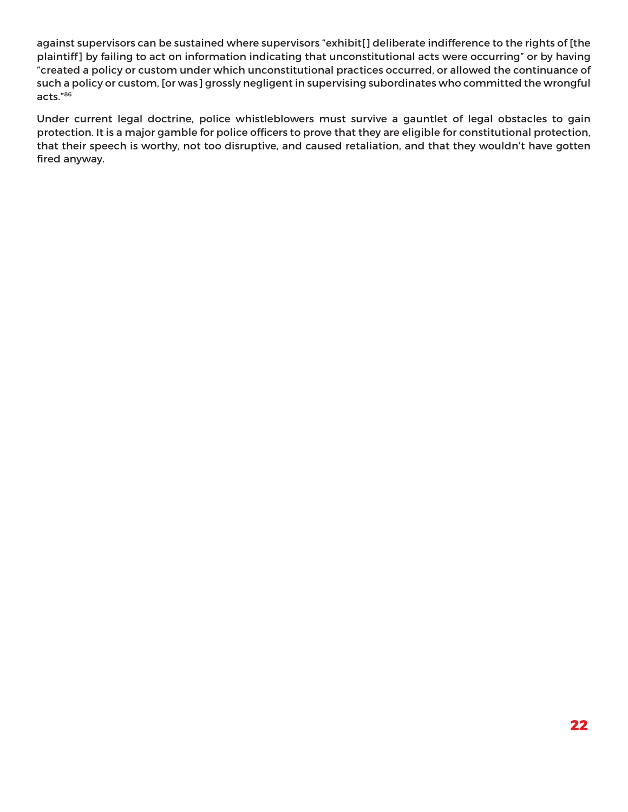against supervisors can be sustained where supervisors "exhibit[] deliberate indifference to the rights of [the plaintiff] by failing to act on information indicating that unconstitutional acts were occurring" or by having "created a policy or custom under which unconstitutional practices occurred, or allowed the continuance of such a policy or custom, [or was] grossly negligent in supervising subordinates who committed the wrongful acts."86

Under current legal doctrine, police whistleblowers must survive a gauntlet of legal obstacles to gain protection. It is a major gamble for police officers to prove that they are eligible for constitutional protection, that their speech is worthy, not too disruptive, and caused retaliation, and that they wouldn't have gotten fired anyway.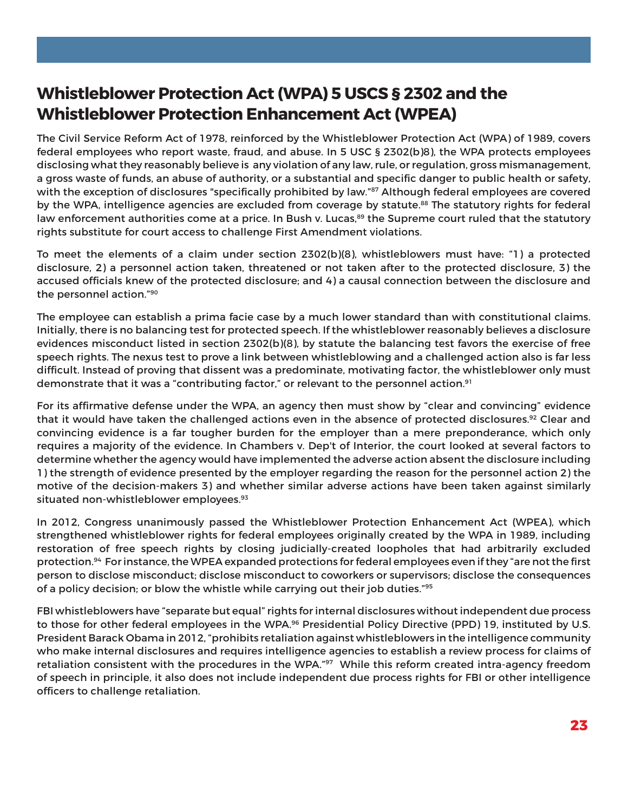# **Whistleblower Protection Act (WPA) 5 USCS § 2302 and the Whistleblower Protection Enhancement Act (WPEA)**

The Civil Service Reform Act of 1978, reinforced by the Whistleblower Protection Act (WPA) of 1989, covers federal employees who report waste, fraud, and abuse. In 5 USC § 2302(b)8), the WPA protects employees disclosing what they reasonably believe is any violation of any law, rule, or regulation, gross mismanagement, a gross waste of funds, an abuse of authority, or a substantial and specific danger to public health or safety, with the exception of disclosures "specifically prohibited by law."<sup>87</sup> Although federal employees are covered by the WPA, intelligence agencies are excluded from coverage by statute.<sup>88</sup> The statutory rights for federal law enforcement authorities come at a price. In Bush v. Lucas,<sup>89</sup> the Supreme court ruled that the statutory rights substitute for court access to challenge First Amendment violations.

To meet the elements of a claim under section 2302(b)(8), whistleblowers must have: "1) a protected disclosure, 2) a personnel action taken, threatened or not taken after to the protected disclosure, 3) the accused officials knew of the protected disclosure; and 4) a causal connection between the disclosure and the personnel action."90

The employee can establish a prima facie case by a much lower standard than with constitutional claims. Initially, there is no balancing test for protected speech. If the whistleblower reasonably believes a disclosure evidences misconduct listed in section 2302(b)(8), by statute the balancing test favors the exercise of free speech rights. The nexus test to prove a link between whistleblowing and a challenged action also is far less difficult. Instead of proving that dissent was a predominate, motivating factor, the whistleblower only must demonstrate that it was a "contributing factor," or relevant to the personnel action.<sup>91</sup>

For its affirmative defense under the WPA, an agency then must show by "clear and convincing" evidence that it would have taken the challenged actions even in the absence of protected disclosures.<sup>92</sup> Clear and convincing evidence is a far tougher burden for the employer than a mere preponderance, which only requires a majority of the evidence. In Chambers v. Dep't of Interior, the court looked at several factors to determine whether the agency would have implemented the adverse action absent the disclosure including 1) the strength of evidence presented by the employer regarding the reason for the personnel action 2) the motive of the decision-makers 3) and whether similar adverse actions have been taken against similarly situated non-whistleblower employees.<sup>93</sup>

In 2012, Congress unanimously passed the Whistleblower Protection Enhancement Act (WPEA), which strengthened whistleblower rights for federal employees originally created by the WPA in 1989, including restoration of free speech rights by closing judicially-created loopholes that had arbitrarily excluded protection.94 For instance, the WPEA expanded protections for federal employees even if they "are not the first person to disclose misconduct; disclose misconduct to coworkers or supervisors; disclose the consequences of a policy decision; or blow the whistle while carrying out their job duties."<sup>95</sup>

FBI whistleblowers have "separate but equal" rights for internal disclosures without independent due process to those for other federal employees in the WPA.<sup>96</sup> Presidential Policy Directive (PPD) 19, instituted by U.S. President Barack Obama in 2012, "prohibits retaliation against whistleblowers in the intelligence community who make internal disclosures and requires intelligence agencies to establish a review process for claims of retaliation consistent with the procedures in the WPA."<sup>97</sup> While this reform created intra-agency freedom of speech in principle, it also does not include independent due process rights for FBI or other intelligence officers to challenge retaliation.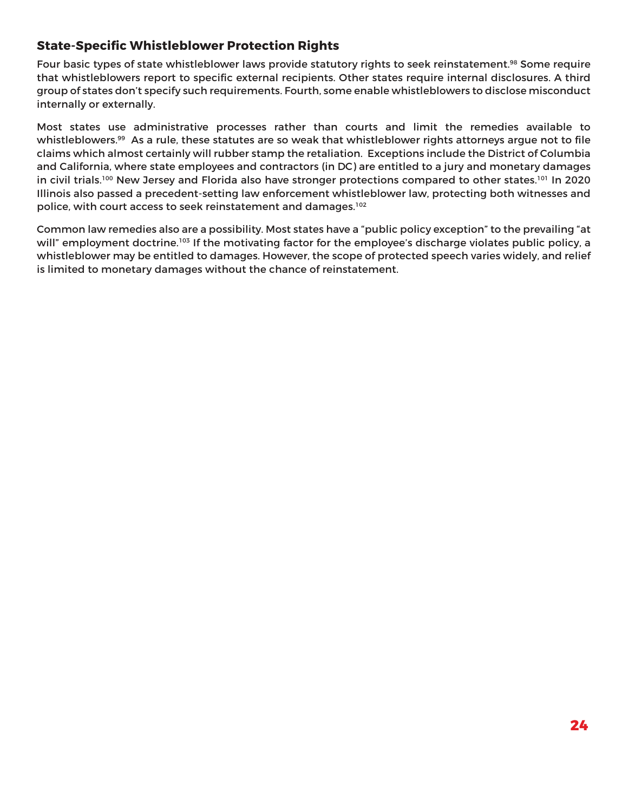### **State-Specific Whistleblower Protection Rights**

Four basic types of state whistleblower laws provide statutory rights to seek reinstatement.<sup>98</sup> Some require that whistleblowers report to specific external recipients. Other states require internal disclosures. A third group of states don't specify such requirements. Fourth, some enable whistleblowers to disclose misconduct internally or externally.

Most states use administrative processes rather than courts and limit the remedies available to whistleblowers.<sup>99</sup> As a rule, these statutes are so weak that whistleblower rights attorneys argue not to file claims which almost certainly will rubber stamp the retaliation. Exceptions include the District of Columbia and California, where state employees and contractors (in DC) are entitled to a jury and monetary damages in civil trials.<sup>100</sup> New Jersey and Florida also have stronger protections compared to other states.<sup>101</sup> In 2020 Illinois also passed a precedent-setting law enforcement whistleblower law, protecting both witnesses and police, with court access to seek reinstatement and damages.102

Common law remedies also are a possibility. Most states have a "public policy exception" to the prevailing "at will" employment doctrine.<sup>103</sup> If the motivating factor for the employee's discharge violates public policy, a whistleblower may be entitled to damages. However, the scope of protected speech varies widely, and relief is limited to monetary damages without the chance of reinstatement.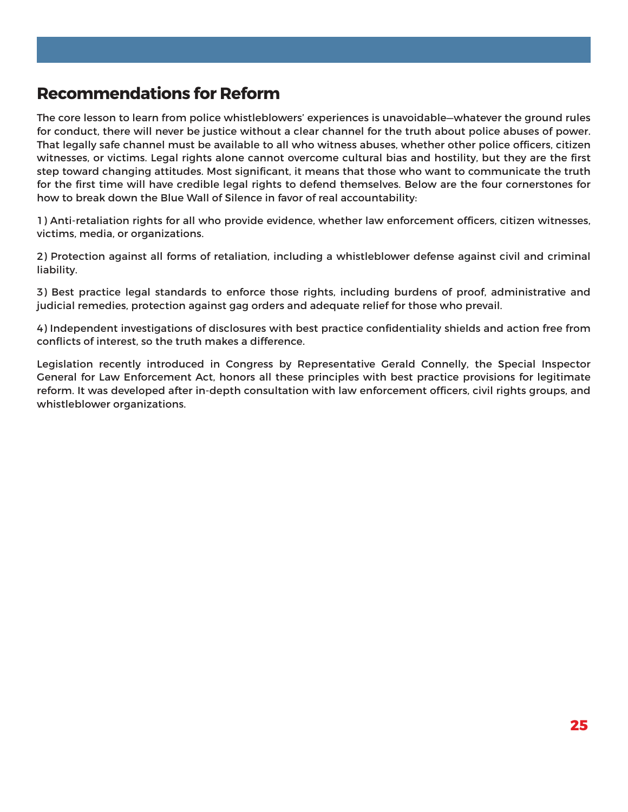## **Recommendations for Reform**

The core lesson to learn from police whistleblowers' experiences is unavoidable—whatever the ground rules for conduct, there will never be justice without a clear channel for the truth about police abuses of power. That legally safe channel must be available to all who witness abuses, whether other police officers, citizen witnesses, or victims. Legal rights alone cannot overcome cultural bias and hostility, but they are the first step toward changing attitudes. Most significant, it means that those who want to communicate the truth for the first time will have credible legal rights to defend themselves. Below are the four cornerstones for how to break down the Blue Wall of Silence in favor of real accountability:

1) Anti-retaliation rights for all who provide evidence, whether law enforcement officers, citizen witnesses, victims, media, or organizations.

2) Protection against all forms of retaliation, including a whistleblower defense against civil and criminal liability.

3) Best practice legal standards to enforce those rights, including burdens of proof, administrative and judicial remedies, protection against gag orders and adequate relief for those who prevail.

4) Independent investigations of disclosures with best practice confidentiality shields and action free from conflicts of interest, so the truth makes a difference.

Legislation recently introduced in Congress by Representative Gerald Connelly, the Special Inspector General for Law Enforcement Act, honors all these principles with best practice provisions for legitimate reform. It was developed after in-depth consultation with law enforcement officers, civil rights groups, and whistleblower organizations.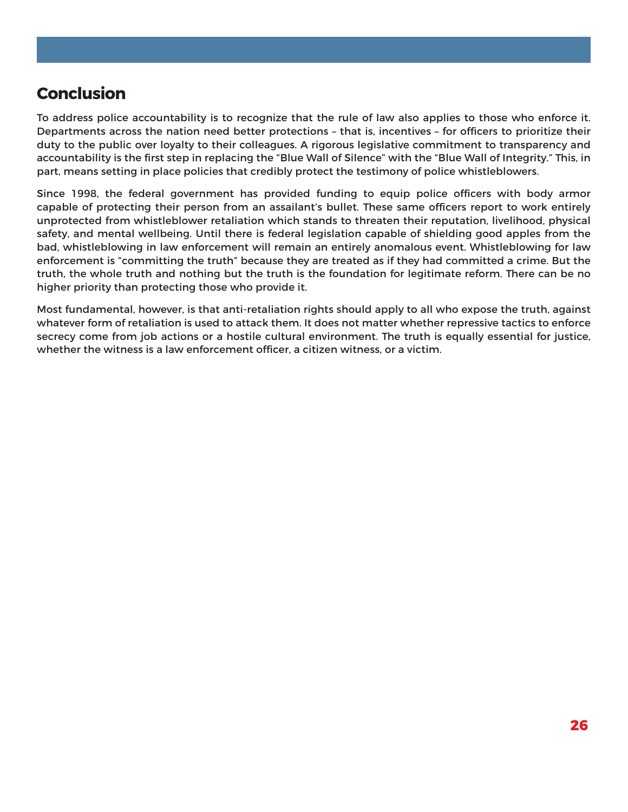## **Conclusion**

To address police accountability is to recognize that the rule of law also applies to those who enforce it. Departments across the nation need better protections – that is, incentives – for officers to prioritize their duty to the public over loyalty to their colleagues. A rigorous legislative commitment to transparency and accountability is the first step in replacing the "Blue Wall of Silence" with the "Blue Wall of Integrity." This, in part, means setting in place policies that credibly protect the testimony of police whistleblowers.

Since 1998, the federal government has provided funding to equip police officers with body armor capable of protecting their person from an assailant's bullet. These same officers report to work entirely unprotected from whistleblower retaliation which stands to threaten their reputation, livelihood, physical safety, and mental wellbeing. Until there is federal legislation capable of shielding good apples from the bad, whistleblowing in law enforcement will remain an entirely anomalous event. Whistleblowing for law enforcement is "committing the truth" because they are treated as if they had committed a crime. But the truth, the whole truth and nothing but the truth is the foundation for legitimate reform. There can be no higher priority than protecting those who provide it.

Most fundamental, however, is that anti-retaliation rights should apply to all who expose the truth, against whatever form of retaliation is used to attack them. It does not matter whether repressive tactics to enforce secrecy come from job actions or a hostile cultural environment. The truth is equally essential for justice, whether the witness is a law enforcement officer, a citizen witness, or a victim.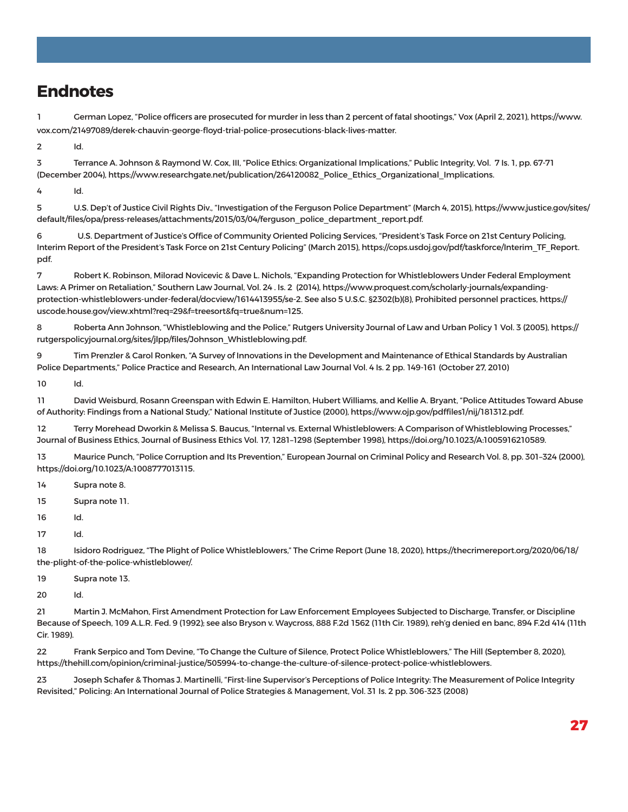## **Endnotes**

1 German Lopez, "Police officers are prosecuted for murder in less than 2 percent of fatal shootings," Vox (April 2, 2021), https://www. vox.com/21497089/derek-chauvin-george-floyd-trial-police-prosecutions-black-lives-matter.

2 Id.

3 Terrance A. Johnson & Raymond W. Cox, III, "Police Ethics: Organizational Implications," Public Integrity, Vol. 7 Is. 1, pp. 67-71 (December 2004), https://www.researchgate.net/publication/264120082\_Police\_Ethics\_Organizational\_Implications.

4 Id.

5 U.S. Dep't of Justice Civil Rights Div., "Investigation of the Ferguson Police Department" (March 4, 2015), https://www.justice.gov/sites/ default/files/opa/press-releases/attachments/2015/03/04/ferguson\_police\_department\_report.pdf.

6 U.S. Department of Justice's Office of Community Oriented Policing Services, "President's Task Force on 21st Century Policing, Interim Report of the President's Task Force on 21st Century Policing" (March 2015), https://cops.usdoj.gov/pdf/taskforce/Interim\_TF\_Report. pdf.

7 Robert K. Robinson, Milorad Novicevic & Dave L. Nichols, "Expanding Protection for Whistleblowers Under Federal Employment Laws: A Primer on Retaliation," Southern Law Journal, Vol. 24 . Is. 2 (2014), https://www.proquest.com/scholarly-journals/expandingprotection-whistleblowers-under-federal/docview/1614413955/se-2. See also 5 U.S.C. §2302(b)(8), Prohibited personnel practices, https:// uscode.house.gov/view.xhtml?req=29&f=treesort&fq=true&num=125.

8 Roberta Ann Johnson, "Whistleblowing and the Police," Rutgers University Journal of Law and Urban Policy 1 Vol. 3 (2005), https:// rutgerspolicyjournal.org/sites/jlpp/files/Johnson\_Whistleblowing.pdf.

9 Tim Prenzler & Carol Ronken, "A Survey of Innovations in the Development and Maintenance of Ethical Standards by Australian Police Departments," Police Practice and Research, An International Law Journal Vol. 4 Is. 2 pp. 149-161 (October 27, 2010)

10 Id.

11 David Weisburd, Rosann Greenspan with Edwin E. Hamilton, Hubert Williams, and Kellie A. Bryant, "Police Attitudes Toward Abuse of Authority: Findings from a National Study," National Institute of Justice (2000), https://www.ojp.gov/pdffiles1/nij/181312.pdf.

12 Terry Morehead Dworkin & Melissa S. Baucus, "Internal vs. External Whistleblowers: A Comparison of Whistleblowing Processes," Journal of Business Ethics, Journal of Business Ethics Vol. 17, 1281–1298 (September 1998), https://doi.org/10.1023/A:1005916210589.

13 Maurice Punch, "Police Corruption and Its Prevention," European Journal on Criminal Policy and Research Vol. 8, pp. 301–324 (2000), https://doi.org/10.1023/A:1008777013115.

14 Supra note 8.

15 Supra note 11.

16 Id.

17 Id.

18 Isidoro Rodriguez, "The Plight of Police Whistleblowers," The Crime Report (June 18, 2020), https://thecrimereport.org/2020/06/18/ the-plight-of-the-police-whistleblower/.

19 Supra note 13.

20 Id.

21 Martin J. McMahon, First Amendment Protection for Law Enforcement Employees Subjected to Discharge, Transfer, or Discipline Because of Speech, 109 A.L.R. Fed. 9 (1992); see also Bryson v. Waycross, 888 F.2d 1562 (11th Cir. 1989), reh'g denied en banc, 894 F.2d 414 (11th Cir. 1989).

22 Frank Serpico and Tom Devine, "To Change the Culture of Silence, Protect Police Whistleblowers," The Hill (September 8, 2020), https://thehill.com/opinion/criminal-justice/505994-to-change-the-culture-of-silence-protect-police-whistleblowers.

23 Joseph Schafer & Thomas J. Martinelli, "First-line Supervisor's Perceptions of Police Integrity: The Measurement of Police Integrity Revisited," Policing: An International Journal of Police Strategies & Management, Vol. 31 Is. 2 pp. 306-323 (2008)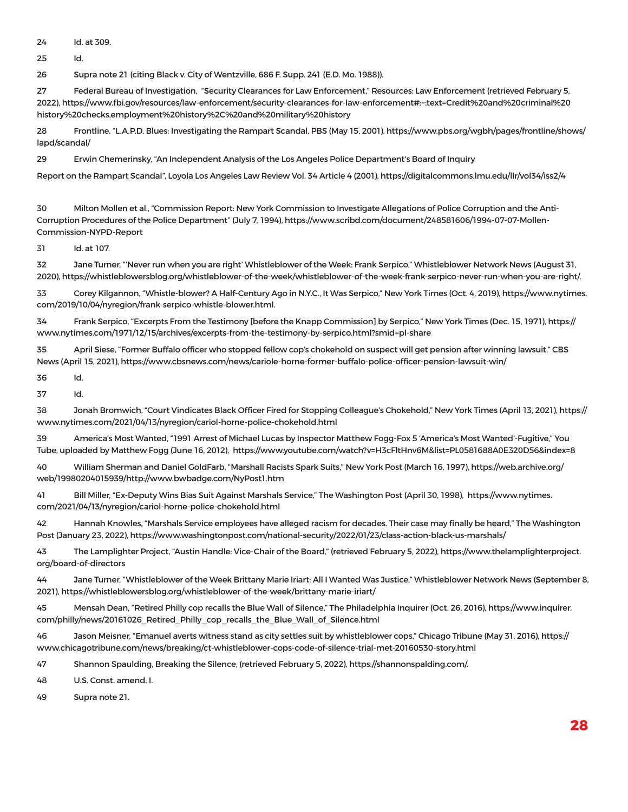24 Id. at 309.

25 Id.

26 Supra note 21 (citing Black v. City of Wentzville, 686 F. Supp. 241 (E.D. Mo. 1988)).

27 Federal Bureau of Investigation, "Security Clearances for Law Enforcement," Resources: Law Enforcement (retrieved February 5, 2022), https://www.fbi.gov/resources/law-enforcement/security-clearances-for-law-enforcement#:~:text=Credit%20and%20criminal%20 history%20checks,employment%20history%2C%20and%20military%20history

28 Frontline, "L.A.P.D. Blues: Investigating the Rampart Scandal, PBS (May 15, 2001), https://www.pbs.org/wgbh/pages/frontline/shows/ lapd/scandal/

29 Erwin Chemerinsky, "An Independent Analysis of the Los Angeles Police Department's Board of Inquiry

Report on the Rampart Scandal", Loyola Los Angeles Law Review Vol. 34 Article 4 (2001), https://digitalcommons.lmu.edu/llr/vol34/iss2/4

30 Milton Mollen et al., "Commission Report: New York Commission to Investigate Allegations of Police Corruption and the Anti-Corruption Procedures of the Police Department" (July 7, 1994), https://www.scribd.com/document/248581606/1994-07-07-Mollen-Commission-NYPD-Report

31 Id. at 107.

32 Jane Turner, "'Never run when you are right' Whistleblower of the Week: Frank Serpico," Whistleblower Network News (August 31, 2020), https://whistleblowersblog.org/whistleblower-of-the-week/whistleblower-of-the-week-frank-serpico-never-run-when-you-are-right/.

33 Corey Kilgannon, "Whistle-blower? A Half-Century Ago in N.Y.C., It Was Serpico," New York Times (Oct. 4, 2019), https://www.nytimes. com/2019/10/04/nyregion/frank-serpico-whistle-blower.html.

34 Frank Serpico, "Excerpts From the Testimony [before the Knapp Commission] by Serpico," New York Times (Dec. 15, 1971), https:// www.nytimes.com/1971/12/15/archives/excerpts-from-the-testimony-by-serpico.html?smid=pl-share

35 April Siese, "Former Buffalo officer who stopped fellow cop's chokehold on suspect will get pension after winning lawsuit," CBS News (April 15, 2021), https://www.cbsnews.com/news/cariole-horne-former-buffalo-police-officer-pension-lawsuit-win/

36 Id.

37 Id.

38 Jonah Bromwich, "Court Vindicates Black Officer Fired for Stopping Colleague's Chokehold," New York Times (April 13, 2021), https:// www.nytimes.com/2021/04/13/nyregion/cariol-horne-police-chokehold.html

39 America's Most Wanted, "1991 Arrest of Michael Lucas by Inspector Matthew Fogg-Fox 5 'America's Most Wanted'-Fugitive," You Tube, uploaded by Matthew Fogg (June 16, 2012), https://www.youtube.com/watch?v=H3cFltHnv6M&list=PL0581688A0E320D56&index=8

40 William Sherman and Daniel GoldFarb, "Marshall Racists Spark Suits," New York Post (March 16, 1997), https://web.archive.org/ web/19980204015939/http://www.bwbadge.com/NyPost1.htm

41 Bill Miller, "Ex-Deputy Wins Bias Suit Against Marshals Service," The Washington Post (April 30, 1998), https://www.nytimes. com/2021/04/13/nyregion/cariol-horne-police-chokehold.html

42 Hannah Knowles, "Marshals Service employees have alleged racism for decades. Their case may finally be heard," The Washington Post (January 23, 2022), https://www.washingtonpost.com/national-security/2022/01/23/class-action-black-us-marshals/

43 The Lamplighter Project, "Austin Handle: Vice-Chair of the Board," (retrieved February 5, 2022), https://www.thelamplighterproject. org/board-of-directors

44 Jane Turner, "Whistleblower of the Week Brittany Marie Iriart: All I Wanted Was Justice," Whistleblower Network News (September 8, 2021), https://whistleblowersblog.org/whistleblower-of-the-week/brittany-marie-iriart/

45 Mensah Dean, "Retired Philly cop recalls the Blue Wall of Silence," The Philadelphia Inquirer (Oct. 26, 2016), https://www.inquirer. com/philly/news/20161026\_Retired\_Philly\_cop\_recalls\_the\_Blue\_Wall\_of\_Silence.html

46 Jason Meisner, "Emanuel averts witness stand as city settles suit by whistleblower cops," Chicago Tribune (May 31, 2016), https:// www.chicagotribune.com/news/breaking/ct-whistleblower-cops-code-of-silence-trial-met-20160530-story.html

47 Shannon Spaulding, Breaking the Silence, (retrieved February 5, 2022), https://shannonspalding.com/.

48 U.S. Const. amend. I.

49 Supra note 21.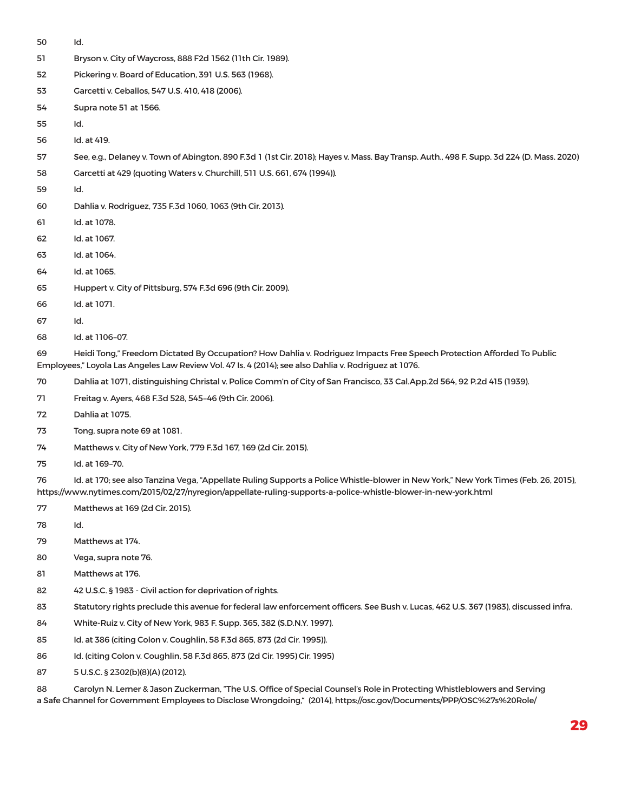- Id.
- Bryson v. City of Waycross, 888 F2d 1562 (11th Cir. 1989).
- Pickering v. Board of Education, 391 U.S. 563 (1968).
- Garcetti v. Ceballos, 547 U.S. 410, 418 (2006).
- Supra note 51 at 1566.
- Id.
- Id. at 419.
- See, e.g., Delaney v. Town of Abington, 890 F.3d 1 (1st Cir. 2018); Hayes v. Mass. Bay Transp. Auth., 498 F. Supp. 3d 224 (D. Mass. 2020)
- Garcetti at 429 (quoting Waters v. Churchill, 511 U.S. 661, 674 (1994)).
- Id.
- Dahlia v. Rodriguez, 735 F.3d 1060, 1063 (9th Cir. 2013).
- Id. at 1078.
- Id. at 1067.
- Id. at 1064.
- Id. at 1065.
- Huppert v. City of Pittsburg, 574 F.3d 696 (9th Cir. 2009).
- Id. at 1071.
- Id.
- Id. at 1106–07.

 Heidi Tong," Freedom Dictated By Occupation? How Dahlia v. Rodriguez Impacts Free Speech Protection Afforded To Public Employees," Loyola Las Angeles Law Review Vol. 47 Is. 4 (2014); see also Dahlia v. Rodriguez at 1076.

- Dahlia at 1071, distinguishing Christal v. Police Comm'n of City of San Francisco, 33 Cal.App.2d 564, 92 P.2d 415 (1939).
- Freitag v. Ayers, 468 F.3d 528, 545–46 (9th Cir. 2006).
- Dahlia at 1075.
- Tong, supra note 69 at 1081.
- Matthews v. City of New York, 779 F.3d 167, 169 (2d Cir. 2015).
- Id. at 169–70.

 Id. at 170; see also Tanzina Vega, "Appellate Ruling Supports a Police Whistle-blower in New York," New York Times (Feb. 26, 2015), https://www.nytimes.com/2015/02/27/nyregion/appellate-ruling-supports-a-police-whistle-blower-in-new-york.html

- Matthews at 169 (2d Cir. 2015).
- Id.
- Matthews at 174.
- Vega, supra note 76.
- Matthews at 176.
- 42 U.S.C. § 1983 Civil action for deprivation of rights.
- Statutory rights preclude this avenue for federal law enforcement officers. See Bush v. Lucas, 462 U.S. 367 (1983), discussed infra.
- White-Ruiz v. City of New York, 983 F. Supp. 365, 382 (S.D.N.Y. 1997).
- Id. at 386 (citing Colon v. Coughlin, 58 F.3d 865, 873 (2d Cir. 1995)).
- Id. (citing Colon v. Coughlin, 58 F.3d 865, 873 (2d Cir. 1995) Cir. 1995)
- 5 U.S.C. § 2302(b)(8)(A) (2012).

 Carolyn N. Lerner & Jason Zuckerman, "The U.S. Office of Special Counsel's Role in Protecting Whistleblowers and Serving a Safe Channel for Government Employees to Disclose Wrongdoing," (2014), https://osc.gov/Documents/PPP/OSC%27s%20Role/